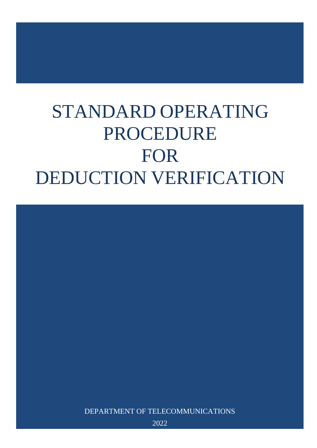# STANDARD OPERATING PROCEDURE FOR DEDUCTION VERIFICATION



2022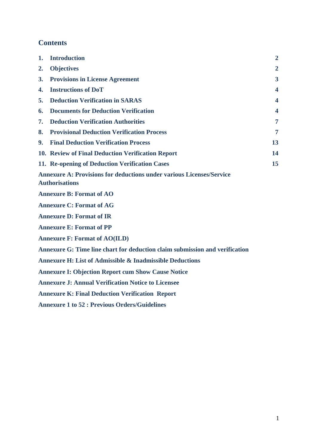# **Contents**

| 1. | <b>Introduction</b>                                                                                  | $\overline{2}$          |
|----|------------------------------------------------------------------------------------------------------|-------------------------|
| 2. | <b>Objectives</b>                                                                                    | $\overline{2}$          |
| 3. | <b>Provisions in License Agreement</b>                                                               | 3                       |
| 4. | <b>Instructions of DoT</b>                                                                           | 4                       |
| 5. | <b>Deduction Verification in SARAS</b>                                                               | 4                       |
| 6. | <b>Documents for Deduction Verification</b>                                                          | $\overline{\mathbf{4}}$ |
| 7. | <b>Deduction Verification Authorities</b>                                                            | 7                       |
| 8. | <b>Provisional Deduction Verification Process</b>                                                    | 7                       |
| 9. | <b>Final Deduction Verification Process</b>                                                          | 13                      |
|    | 10. Review of Final Deduction Verification Report                                                    | 14                      |
|    | 11. Re-opening of Deduction Verification Cases                                                       | 15                      |
|    | <b>Annexure A: Provisions for deductions under various Licenses/Service</b><br><b>Authorisations</b> |                         |
|    | <b>Annexure B: Format of AO</b>                                                                      |                         |
|    | <b>Annexure C: Format of AG</b>                                                                      |                         |
|    | <b>Annexure D: Format of IR</b>                                                                      |                         |
|    | <b>Annexure E: Format of PP</b>                                                                      |                         |
|    | <b>Annexure F: Format of AO(ILD)</b>                                                                 |                         |
|    | Annexure G: Time line chart for deduction claim submission and verification                          |                         |
|    | <b>Annexure H: List of Admissible &amp; Inadmissible Deductions</b>                                  |                         |
|    | <b>Annexure I: Objection Report cum Show Cause Notice</b>                                            |                         |
|    | <b>Annexure J: Annual Verification Notice to Licensee</b>                                            |                         |
|    | <b>Annexure K: Final Deduction Verification Report</b>                                               |                         |
|    | <b>Annexure 1 to 52 : Previous Orders/Guidelines</b>                                                 |                         |
|    |                                                                                                      |                         |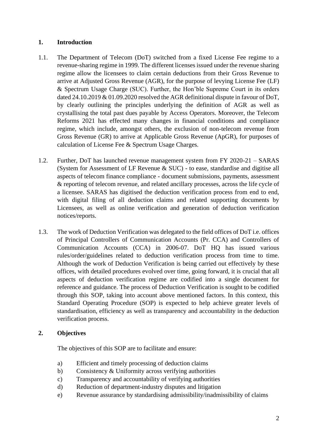## <span id="page-2-0"></span>**1. Introduction**

- 1.1. The Department of Telecom (DoT) switched from a fixed License Fee regime to a revenue-sharing regime in 1999. The different licenses issued under the revenue sharing regime allow the licensees to claim certain deductions from their Gross Revenue to arrive at Adjusted Gross Revenue (AGR), for the purpose of levying License Fee (LF) & Spectrum Usage Charge (SUC). Further, the Hon'ble Supreme Court in its orders dated 24.10.2019 & 01.09.2020 resolved the AGR definitional dispute in favour of DoT, by clearly outlining the principles underlying the definition of AGR as well as crystallising the total past dues payable by Access Operators. Moreover, the Telecom Reforms 2021 has effected many changes in financial conditions and compliance regime, which include, amongst others, the exclusion of non-telecom revenue from Gross Revenue (GR) to arrive at Applicable Gross Revenue (ApGR), for purposes of calculation of License Fee & Spectrum Usage Charges.
- 1.2. Further, DoT has launched revenue management system from FY 2020-21 SARAS (System for Assessment of LF Revenue & SUC) - to ease, standardise and digitise all aspects of telecom finance compliance - document submissions, payments, assessment & reporting of telecom revenue, and related ancillary processes, across the life cycle of a licensee. SARAS has digitised the deduction verification process from end to end, with digital filing of all deduction claims and related supporting documents by Licensees, as well as online verification and generation of deduction verification notices/reports.
- 1.3. The work of Deduction Verification was delegated to the field offices of DoT i.e. offices of Principal Controllers of Communication Accounts (Pr. CCA) and Controllers of Communication Accounts (CCA) in 2006-07. DoT HQ has issued various rules/order/guidelines related to deduction verification process from time to time. Although the work of Deduction Verification is being carried out effectively by these offices, with detailed procedures evolved over time, going forward, it is crucial that all aspects of deduction verification regime are codified into a single document for reference and guidance. The process of Deduction Verification is sought to be codified through this SOP, taking into account above mentioned factors. In this context, this Standard Operating Procedure (SOP) is expected to help achieve greater levels of standardisation, efficiency as well as transparency and accountability in the deduction verification process.

# <span id="page-2-1"></span>**2. Objectives**

The objectives of this SOP are to facilitate and ensure:

- a) Efficient and timely processing of deduction claims
- b) Consistency & Uniformity across verifying authorities
- c) Transparency and accountability of verifying authorities
- d) Reduction of department-industry disputes and litigation
- e) Revenue assurance by standardising admissibility/inadmissibility of claims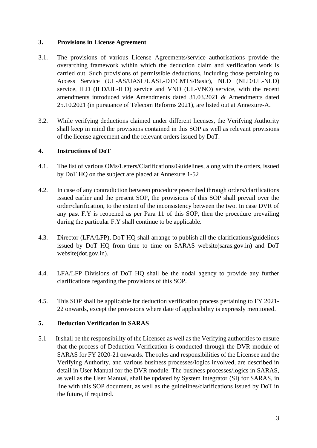## <span id="page-3-0"></span>**3. Provisions in License Agreement**

- 3.1. The provisions of various License Agreements/service authorisations provide the overarching framework within which the deduction claim and verification work is carried out. Such provisions of permissible deductions, including those pertaining to Access Service (UL-AS/UASL/UASL-DT/CMTS/Basic), NLD (NLD/UL-NLD) service, ILD (ILD/UL-ILD) service and VNO (UL-VNO) service, with the recent amendments introduced vide Amendments dated 31.03.2021 & Amendments dated 25.10.2021 (in pursuance of Telecom Reforms 2021), are listed out at Annexure-A.
- 3.2. While verifying deductions claimed under different licenses, the Verifying Authority shall keep in mind the provisions contained in this SOP as well as relevant provisions of the license agreement and the relevant orders issued by DoT.

## <span id="page-3-1"></span>**4. Instructions of DoT**

- 4.1. The list of various OMs/Letters/Clarifications/Guidelines, along with the orders, issued by DoT HQ on the subject are placed at Annexure 1-52
- 4.2. In case of any contradiction between procedure prescribed through orders/clarifications issued earlier and the present SOP, the provisions of this SOP shall prevail over the order/clarification, to the extent of the inconsistency between the two. In case DVR of any past F.Y is reopened as per Para 11 of this SOP, then the procedure prevailing during the particular F.Y shall continue to be applicable.
- 4.3. Director (LFA/LFP), DoT HQ shall arrange to publish all the clarifications/guidelines issued by DoT HQ from time to time on SARAS website(saras.gov.in) and DoT website(dot.gov.in).
- 4.4. LFA/LFP Divisions of DoT HQ shall be the nodal agency to provide any further clarifications regarding the provisions of this SOP.
- 4.5. This SOP shall be applicable for deduction verification process pertaining to FY 2021- 22 onwards, except the provisions where date of applicability is expressly mentioned.

# <span id="page-3-2"></span>**5. Deduction Verification in SARAS**

5.1 It shall be the responsibility of the Licensee as well as the Verifying authorities to ensure that the process of Deduction Verification is conducted through the DVR module of SARAS for FY 2020-21 onwards. The roles and responsibilities of the Licensee and the Verifying Authority, and various business processes/logics involved, are described in detail in User Manual for the DVR module. The business processes/logics in SARAS, as well as the User Manual, shall be updated by System Integrator (SI) for SARAS, in line with this SOP document, as well as the guidelines/clarifications issued by DoT in the future, if required.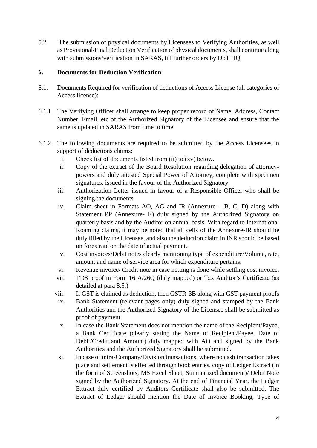5.2 The submission of physical documents by Licensees to Verifying Authorities, as well as Provisional/Final Deduction Verification of physical documents, shall continue along with submissions/verification in SARAS, till further orders by DoT HQ.

#### <span id="page-4-0"></span>**6. Documents for Deduction Verification**

- 6.1. Documents Required for verification of deductions of Access License (all categories of Access license):
- 6.1.1. The Verifying Officer shall arrange to keep proper record of Name, Address, Contact Number, Email, etc of the Authorized Signatory of the Licensee and ensure that the same is updated in SARAS from time to time.
- 6.1.2. The following documents are required to be submitted by the Access Licensees in support of deductions claims:
	- i. Check list of documents listed from (ii) to (xv) below.
	- ii. Copy of the extract of the Board Resolution regarding delegation of attorneypowers and duly attested Special Power of Attorney, complete with specimen signatures, issued in the favour of the Authorized Signatory.
	- iii. Authorization Letter issued in favour of a Responsible Officer who shall be signing the documents
	- iv. Claim sheet in Formats AO, AG and IR (Annexure B, C, D) along with Statement PP (Annexure- E) duly signed by the Authorized Signatory on quarterly basis and by the Auditor on annual basis. With regard to International Roaming claims, it may be noted that all cells of the Annexure-IR should be duly filled by the Licensee, and also the deduction claim in INR should be based on forex rate on the date of actual payment.
	- v. Cost invoices/Debit notes clearly mentioning type of expenditure/Volume, rate, amount and name of service area for which expenditure pertains.
	- vi. Revenue invoice/ Credit note in case netting is done while settling cost invoice.
	- vii. TDS proof in Form 16 A/26Q (duly mapped) or Tax Auditor's Certificate (as detailed at para 8.5.)
	- viii. If GST is claimed as deduction, then GSTR-3B along with GST payment proofs
	- ix. Bank Statement (relevant pages only) duly signed and stamped by the Bank Authorities and the Authorized Signatory of the Licensee shall be submitted as proof of payment.
	- x. In case the Bank Statement does not mention the name of the Recipient/Payee, a Bank Certificate (clearly stating the Name of Recipient/Payee, Date of Debit/Credit and Amount) duly mapped with AO and signed by the Bank Authorities and the Authorized Signatory shall be submitted.
	- xi. In case of intra-Company/Division transactions, where no cash transaction takes place and settlement is effected through book entries, copy of Ledger Extract (in the form of Screenshots, MS Excel Sheet, Summarized document)/ Debit Note signed by the Authorized Signatory. At the end of Financial Year, the Ledger Extract duly certified by Auditors Certificate shall also be submitted. The Extract of Ledger should mention the Date of Invoice Booking, Type of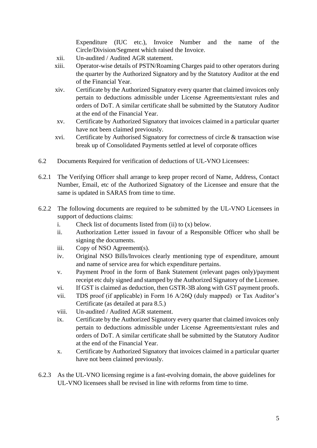Expenditure (IUC etc.), Invoice Number and the name of the Circle/Division/Segment which raised the Invoice.

- xii. Un-audited / Audited AGR statement.
- xiii. Operator-wise details of PSTN/Roaming Charges paid to other operators during the quarter by the Authorized Signatory and by the Statutory Auditor at the end of the Financial Year.
- xiv. Certificate by the Authorized Signatory every quarter that claimed invoices only pertain to deductions admissible under License Agreements/extant rules and orders of DoT. A similar certificate shall be submitted by the Statutory Auditor at the end of the Financial Year.
- xv. Certificate by Authorized Signatory that invoices claimed in a particular quarter have not been claimed previously.
- xvi. Certificate by Authorised Signatory for correctness of circle & transaction wise break up of Consolidated Payments settled at level of corporate offices
- 6.2 Documents Required for verification of deductions of UL-VNO Licensees:
- 6.2.1 The Verifying Officer shall arrange to keep proper record of Name, Address, Contact Number, Email, etc of the Authorized Signatory of the Licensee and ensure that the same is updated in SARAS from time to time.
- 6.2.2 The following documents are required to be submitted by the UL-VNO Licensees in support of deductions claims:
	- i. Check list of documents listed from (ii) to (x) below.
	- ii. Authorization Letter issued in favour of a Responsible Officer who shall be signing the documents.
	- iii. Copy of NSO Agreement(s).
	- iv. Original NSO Bills/Invoices clearly mentioning type of expenditure, amount and name of service area for which expenditure pertains.
	- v. Payment Proof in the form of Bank Statement (relevant pages only)/payment receipt etc duly signed and stamped by the Authorized Signatory of the Licensee.
	- vi. If GST is claimed as deduction, then GSTR-3B along with GST payment proofs.
	- vii. TDS proof (if applicable) in Form 16 A/26Q (duly mapped) or Tax Auditor's Certificate (as detailed at para 8.5.)
	- viii. Un-audited / Audited AGR statement.
	- ix. Certificate by the Authorized Signatory every quarter that claimed invoices only pertain to deductions admissible under License Agreements/extant rules and orders of DoT. A similar certificate shall be submitted by the Statutory Auditor at the end of the Financial Year.
	- x. Certificate by Authorized Signatory that invoices claimed in a particular quarter have not been claimed previously.
- 6.2.3 As the UL-VNO licensing regime is a fast-evolving domain, the above guidelines for UL-VNO licensees shall be revised in line with reforms from time to time.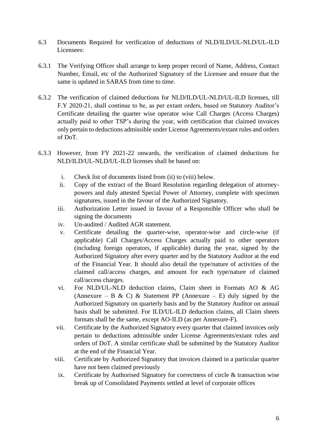- 6.3 Documents Required for verification of deductions of NLD/ILD/UL-NLD/UL-ILD Licensees:
- 6.3.1 The Verifying Officer shall arrange to keep proper record of Name, Address, Contact Number, Email, etc of the Authorized Signatory of the Licensee and ensure that the same is updated in SARAS from time to time.
- 6.3.2 The verification of claimed deductions for NLD/ILD/UL-NLD/UL-ILD licenses, till F.Y 2020-21, shall continue to be, as per extant orders, based on Statutory Auditor's Certificate detailing the quarter wise operator wise Call Charges (Access Charges) actually paid to other TSP's during the year, with certification that claimed invoices only pertain to deductions admissible under License Agreements/extant rules and orders of DoT.
- 6.3.3 However, from FY 2021-22 onwards, the verification of claimed deductions for NLD/ILD/UL-NLD/UL-ILD licenses shall be based on:
	- i. Check list of documents listed from (ii) to (viii) below.
	- ii. Copy of the extract of the Board Resolution regarding delegation of attorneypowers and duly attested Special Power of Attorney, complete with specimen signatures, issued in the favour of the Authorized Signatory.
	- iii. Authorization Letter issued in favour of a Responsible Officer who shall be signing the documents
	- iv. Un-audited / Audited AGR statement.
	- v. Certificate detailing the quarter-wise, operator-wise and circle-wise (if applicable) Call Charges/Access Charges actually paid to other operators (including foreign operators, if applicable) during the year, signed by the Authorized Signatory after every quarter and by the Statutory Auditor at the end of the Financial Year. It should also detail the type/nature of activities of the claimed call/access charges, and amount for each type/nature of claimed call/access charges.
	- vi. For NLD/UL-NLD deduction claims, Claim sheet in Formats AO & AG (Annexure – B & C) & Statement PP (Annexure – E) duly signed by the Authorized Signatory on quarterly basis and by the Statutory Auditor on annual basis shall be submitted. For ILD/UL-ILD deduction claims, all Claim sheets formats shall be the same, except AO-ILD (as per Annexure-F).
	- vii. Certificate by the Authorized Signatory every quarter that claimed invoices only pertain to deductions admissible under License Agreements/extant rules and orders of DoT. A similar certificate shall be submitted by the Statutory Auditor at the end of the Financial Year.
	- viii. Certificate by Authorized Signatory that invoices claimed in a particular quarter have not been claimed previously
	- ix. Certificate by Authorised Signatory for correctness of circle & transaction wise break up of Consolidated Payments settled at level of corporate offices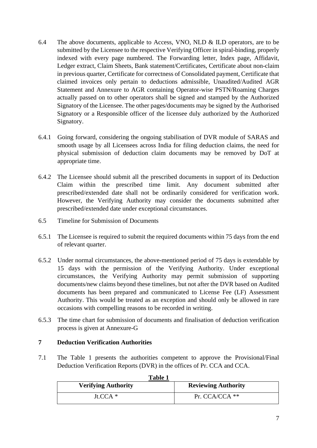- 6.4 The above documents, applicable to Access, VNO, NLD & ILD operators, are to be submitted by the Licensee to the respective Verifying Officer in spiral-binding, properly indexed with every page numbered. The Forwarding letter, Index page, Affidavit, Ledger extract, Claim Sheets, Bank statement/Certificates, Certificate about non-claim in previous quarter, Certificate for correctness of Consolidated payment, Certificate that claimed invoices only pertain to deductions admissible, Unaudited/Audited AGR Statement and Annexure to AGR containing Operator-wise PSTN/Roaming Charges actually passed on to other operators shall be signed and stamped by the Authorized Signatory of the Licensee. The other pages/documents may be signed by the Authorised Signatory or a Responsible officer of the licensee duly authorized by the Authorized Signatory.
- 6.4.1 Going forward, considering the ongoing stabilisation of DVR module of SARAS and smooth usage by all Licensees across India for filing deduction claims, the need for physical submission of deduction claim documents may be removed by DoT at appropriate time.
- 6.4.2 The Licensee should submit all the prescribed documents in support of its Deduction Claim within the prescribed time limit. Any document submitted after prescribed/extended date shall not be ordinarily considered for verification work. However, the Verifying Authority may consider the documents submitted after prescribed/extended date under exceptional circumstances.
- 6.5 Timeline for Submission of Documents
- 6.5.1 The Licensee is required to submit the required documents within 75 days from the end of relevant quarter.
- 6.5.2 Under normal circumstances, the above-mentioned period of 75 days is extendable by 15 days with the permission of the Verifying Authority. Under exceptional circumstances, the Verifying Authority may permit submission of supporting documents/new claims beyond these timelines, but not after the DVR based on Audited documents has been prepared and communicated to License Fee (LF) Assessment Authority. This would be treated as an exception and should only be allowed in rare occasions with compelling reasons to be recorded in writing.
- 6.5.3 The time chart for submission of documents and finalisation of deduction verification process is given at Annexure-G

# <span id="page-7-0"></span>**7 Deduction Verification Authorities**

7.1 The Table 1 presents the authorities competent to approve the Provisional/Final Deduction Verification Reports (DVR) in the offices of Pr. CCA and CCA.

| Table 1                    |                            |
|----------------------------|----------------------------|
| <b>Verifying Authority</b> | <b>Reviewing Authority</b> |
| $Jt.CCA*$                  | Pr. CCA/CCA $**$           |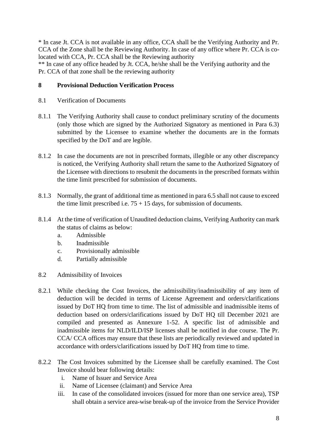\* In case Jt. CCA is not available in any office, CCA shall be the Verifying Authority and Pr. CCA of the Zone shall be the Reviewing Authority. In case of any office where Pr. CCA is colocated with CCA, Pr. CCA shall be the Reviewing authority

\*\* In case of any office headed by Jt. CCA, he/she shall be the Verifying authority and the Pr. CCA of that zone shall be the reviewing authority

# <span id="page-8-0"></span>**8 Provisional Deduction Verification Process**

- 8.1 Verification of Documents
- 8.1.1 The Verifying Authority shall cause to conduct preliminary scrutiny of the documents (only those which are signed by the Authorized Signatory as mentioned in Para 6.3) submitted by the Licensee to examine whether the documents are in the formats specified by the DoT and are legible.
- 8.1.2 In case the documents are not in prescribed formats, illegible or any other discrepancy is noticed, the Verifying Authority shall return the same to the Authorized Signatory of the Licensee with directions to resubmit the documents in the prescribed formats within the time limit prescribed for submission of documents.
- 8.1.3 Normally, the grant of additional time as mentioned in para 6.5 shall not cause to exceed the time limit prescribed i.e.  $75 + 15$  days, for submission of documents.
- 8.1.4 At the time of verification of Unaudited deduction claims, Verifying Authority can mark the status of claims as below:
	- a. Admissible
	- b. Inadmissible
	- c. Provisionally admissible
	- d. Partially admissible
- 8.2 Admissibility of Invoices
- 8.2.1 While checking the Cost Invoices, the admissibility/inadmissibility of any item of deduction will be decided in terms of License Agreement and orders/clarifications issued by DoT HQ from time to time. The list of admissible and inadmissible items of deduction based on orders/clarifications issued by DoT HQ till December 2021 are compiled and presented as Annexure 1-52. A specific list of admissible and inadmissible items for NLD/ILD/ISP licenses shall be notified in due course. The Pr. CCA/ CCA offices may ensure that these lists are periodically reviewed and updated in accordance with orders/clarifications issued by DoT HQ from time to time.
- 8.2.2 The Cost Invoices submitted by the Licensee shall be carefully examined. The Cost Invoice should bear following details:
	- i. Name of Issuer and Service Area
	- ii. Name of Licensee (claimant) and Service Area
	- iii. In case of the consolidated invoices (issued for more than one service area), TSP shall obtain a service area-wise break-up of the invoice from the Service Provider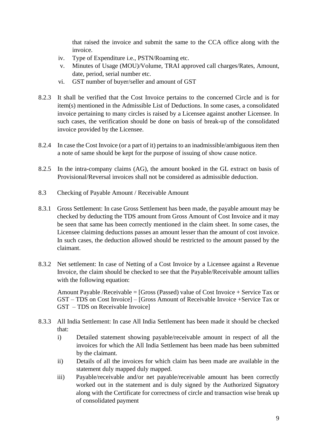that raised the invoice and submit the same to the CCA office along with the invoice.

- iv. Type of Expenditure i.e., PSTN/Roaming etc.
- v. Minutes of Usage (MOU)/Volume, TRAI approved call charges/Rates, Amount, date, period, serial number etc.
- vi. GST number of buyer/seller and amount of GST
- 8.2.3 It shall be verified that the Cost Invoice pertains to the concerned Circle and is for item(s) mentioned in the Admissible List of Deductions. In some cases, a consolidated invoice pertaining to many circles is raised by a Licensee against another Licensee. In such cases, the verification should be done on basis of break-up of the consolidated invoice provided by the Licensee.
- 8.2.4 In case the Cost Invoice (or a part of it) pertains to an inadmissible/ambiguous item then a note of same should be kept for the purpose of issuing of show cause notice.
- 8.2.5 In the intra-company claims (AG), the amount booked in the GL extract on basis of Provisional/Reversal invoices shall not be considered as admissible deduction.
- 8.3 Checking of Payable Amount / Receivable Amount
- 8.3.1 Gross Settlement: In case Gross Settlement has been made, the payable amount may be checked by deducting the TDS amount from Gross Amount of Cost Invoice and it may be seen that same has been correctly mentioned in the claim sheet. In some cases, the Licensee claiming deductions passes an amount lesser than the amount of cost invoice. In such cases, the deduction allowed should be restricted to the amount passed by the claimant.
- 8.3.2 Net settlement: In case of Netting of a Cost Invoice by a Licensee against a Revenue Invoice, the claim should be checked to see that the Payable/Receivable amount tallies with the following equation:

 Amount Payable /Receivable = [Gross (Passed) value of Cost Invoice + Service Tax or GST – TDS on Cost Invoice] – [Gross Amount of Receivable Invoice +Service Tax or GST – TDS on Receivable Invoice]

- 8.3.3 All India Settlement: In case All India Settlement has been made it should be checked that:
	- i) Detailed statement showing payable/receivable amount in respect of all the invoices for which the All India Settlement has been made has been submitted by the claimant.
	- ii) Details of all the invoices for which claim has been made are available in the statement duly mapped duly mapped.
	- iii) Payable/receivable and/or net payable/receivable amount has been correctly worked out in the statement and is duly signed by the Authorized Signatory along with the Certificate for correctness of circle and transaction wise break up of consolidated payment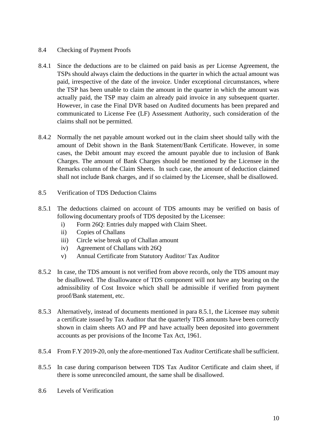#### 8.4 Checking of Payment Proofs

- 8.4.1 Since the deductions are to be claimed on paid basis as per License Agreement, the TSPs should always claim the deductions in the quarter in which the actual amount was paid, irrespective of the date of the invoice. Under exceptional circumstances, where the TSP has been unable to claim the amount in the quarter in which the amount was actually paid, the TSP may claim an already paid invoice in any subsequent quarter. However, in case the Final DVR based on Audited documents has been prepared and communicated to License Fee (LF) Assessment Authority, such consideration of the claims shall not be permitted.
- 8.4.2 Normally the net payable amount worked out in the claim sheet should tally with the amount of Debit shown in the Bank Statement/Bank Certificate. However, in some cases, the Debit amount may exceed the amount payable due to inclusion of Bank Charges. The amount of Bank Charges should be mentioned by the Licensee in the Remarks column of the Claim Sheets. In such case, the amount of deduction claimed shall not include Bank charges, and if so claimed by the Licensee, shall be disallowed.
- 8.5 Verification of TDS Deduction Claims
- 8.5.1 The deductions claimed on account of TDS amounts may be verified on basis of following documentary proofs of TDS deposited by the Licensee:
	- i) Form 26Q: Entries duly mapped with Claim Sheet.
	- ii) Copies of Challans
	- iii) Circle wise break up of Challan amount
	- iv) Agreement of Challans with 26Q
	- v) Annual Certificate from Statutory Auditor/ Tax Auditor
- 8.5.2 In case, the TDS amount is not verified from above records, only the TDS amount may be disallowed. The disallowance of TDS component will not have any bearing on the admissibility of Cost Invoice which shall be admissible if verified from payment proof/Bank statement, etc.
- 8.5.3 Alternatively, instead of documents mentioned in para 8.5.1, the Licensee may submit a certificate issued by Tax Auditor that the quarterly TDS amounts have been correctly shown in claim sheets AO and PP and have actually been deposited into government accounts as per provisions of the Income Tax Act, 1961.
- 8.5.4 From F.Y 2019-20, only the afore-mentioned Tax Auditor Certificate shall be sufficient.
- 8.5.5 In case during comparison between TDS Tax Auditor Certificate and claim sheet, if there is some unreconciled amount, the same shall be disallowed.
- 8.6 Levels of Verification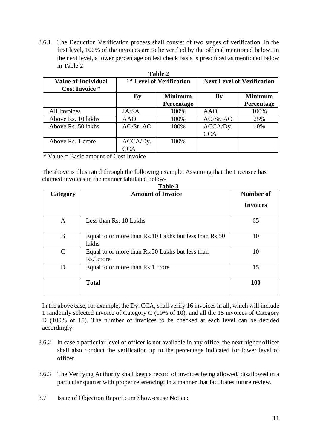8.6.1 The Deduction Verification process shall consist of two stages of verification. In the first level, 100% of the invoices are to be verified by the official mentioned below. In the next level, a lower percentage on test check basis is prescribed as mentioned below in Table 2

| <b>Table 2</b>                                      |                                      |                |                                   |                |  |
|-----------------------------------------------------|--------------------------------------|----------------|-----------------------------------|----------------|--|
| <b>Value of Individual</b><br><b>Cost Invoice</b> * | <sup>1st</sup> Level of Verification |                | <b>Next Level of Verification</b> |                |  |
|                                                     | <b>By</b>                            | <b>Minimum</b> | By                                | <b>Minimum</b> |  |
|                                                     |                                      | Percentage     |                                   | Percentage     |  |
| All Invoices                                        | JA/SA                                | 100%           | AAO                               | 100%           |  |
| Above Rs. 10 lakhs                                  | AAO                                  | 100%           | AO/Sr. AO                         | 25%            |  |
| Above Rs. 50 lakhs                                  | AO/Sr. AO                            | 100%           | ACCA/Dy.                          | 10%            |  |
|                                                     |                                      |                | <b>CCA</b>                        |                |  |
| Above Rs. 1 crore                                   | ACCA/Dy.                             | 100%           |                                   |                |  |
|                                                     | C A                                  |                |                                   |                |  |

\* Value = Basic amount of Cost Invoice

The above is illustrated through the following example. Assuming that the Licensee has claimed invoices in the manner tabulated below-**Table 3**

| Category      | <b>Amount of Invoice</b>                                       | Number of       |
|---------------|----------------------------------------------------------------|-----------------|
|               |                                                                | <b>Invoices</b> |
| A             | Less than Rs. 10 Lakhs                                         | 65              |
| B             | Equal to or more than Rs.10 Lakhs but less than Rs.50<br>lakhs | 10              |
| $\mathcal{C}$ | Equal to or more than Rs.50 Lakhs but less than<br>Rs.1crore   | 10              |
| D             | Equal to or more than Rs.1 crore                               | 15              |
|               | <b>Total</b>                                                   | 100             |

In the above case, for example, the Dy. CCA, shall verify 16 invoices in all, which will include 1 randomly selected invoice of Category C (10% of 10), and all the 15 invoices of Category D (100% of 15). The number of invoices to be checked at each level can be decided accordingly.

- 8.6.2 In case a particular level of officer is not available in any office, the next higher officer shall also conduct the verification up to the percentage indicated for lower level of officer.
- 8.6.3 The Verifying Authority shall keep a record of invoices being allowed/ disallowed in a particular quarter with proper referencing; in a manner that facilitates future review.
- 8.7 Issue of Objection Report cum Show-cause Notice: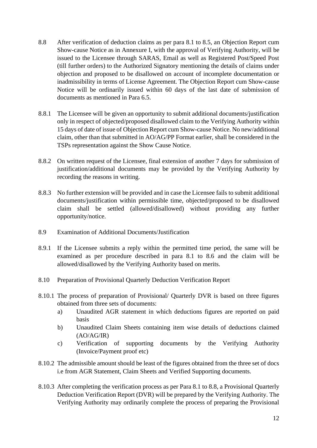- 8.8 After verification of deduction claims as per para 8.1 to 8.5, an Objection Report cum Show-cause Notice as in Annexure I, with the approval of Verifying Authority, will be issued to the Licensee through SARAS, Email as well as Registered Post/Speed Post (till further orders) to the Authorized Signatory mentioning the details of claims under objection and proposed to be disallowed on account of incomplete documentation or inadmissibility in terms of License Agreement. The Objection Report cum Show-cause Notice will be ordinarily issued within 60 days of the last date of submission of documents as mentioned in Para 6.5.
- 8.8.1 The Licensee will be given an opportunity to submit additional documents/justification only in respect of objected/proposed disallowed claim to the Verifying Authority within 15 days of date of issue of Objection Report cum Show-cause Notice. No new/additional claim, other than that submitted in AO/AG/PP Format earlier, shall be considered in the TSPs representation against the Show Cause Notice.
- 8.8.2 On written request of the Licensee, final extension of another 7 days for submission of justification/additional documents may be provided by the Verifying Authority by recording the reasons in writing.
- 8.8.3 No further extension will be provided and in case the Licensee fails to submit additional documents/justification within permissible time, objected/proposed to be disallowed claim shall be settled (allowed/disallowed) without providing any further opportunity/notice.
- 8.9 Examination of Additional Documents/Justification
- 8.9.1 If the Licensee submits a reply within the permitted time period, the same will be examined as per procedure described in para 8.1 to 8.6 and the claim will be allowed/disallowed by the Verifying Authority based on merits.
- 8.10 Preparation of Provisional Quarterly Deduction Verification Report
- 8.10.1 The process of preparation of Provisional/ Quarterly DVR is based on three figures obtained from three sets of documents:
	- a) Unaudited AGR statement in which deductions figures are reported on paid basis
	- b) Unaudited Claim Sheets containing item wise details of deductions claimed  $(AO/AG/IR)$
	- c) Verification of supporting documents by the Verifying Authority (Invoice/Payment proof etc)
- 8.10.2 The admissible amount should be least of the figures obtained from the three set of docs i.e from AGR Statement, Claim Sheets and Verified Supporting documents.
- 8.10.3 After completing the verification process as per Para 8.1 to 8.8, a Provisional Quarterly Deduction Verification Report (DVR) will be prepared by the Verifying Authority. The Verifying Authority may ordinarily complete the process of preparing the Provisional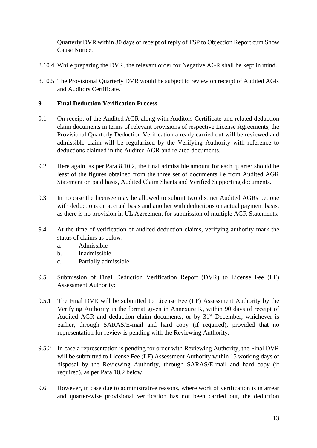Quarterly DVR within 30 days of receipt of reply of TSP to Objection Report cum Show Cause Notice.

- 8.10.4 While preparing the DVR, the relevant order for Negative AGR shall be kept in mind.
- 8.10.5 The Provisional Quarterly DVR would be subject to review on receipt of Audited AGR and Auditors Certificate.

# <span id="page-13-0"></span>**9 Final Deduction Verification Process**

- 9.1 On receipt of the Audited AGR along with Auditors Certificate and related deduction claim documents in terms of relevant provisions of respective License Agreements, the Provisional Quarterly Deduction Verification already carried out will be reviewed and admissible claim will be regularized by the Verifying Authority with reference to deductions claimed in the Audited AGR and related documents.
- 9.2 Here again, as per Para 8.10.2, the final admissible amount for each quarter should be least of the figures obtained from the three set of documents i.e from Audited AGR Statement on paid basis, Audited Claim Sheets and Verified Supporting documents.
- 9.3 In no case the licensee may be allowed to submit two distinct Audited AGRs i.e. one with deductions on accrual basis and another with deductions on actual payment basis, as there is no provision in UL Agreement for submission of multiple AGR Statements.
- 9.4 At the time of verification of audited deduction claims, verifying authority mark the status of claims as below:
	- a. Admissible
	- b. Inadmissible
	- c. Partially admissible
- 9.5 Submission of Final Deduction Verification Report (DVR) to License Fee (LF) Assessment Authority:
- 9.5.1 The Final DVR will be submitted to License Fee (LF) Assessment Authority by the Verifying Authority in the format given in Annexure K, within 90 days of receipt of Audited AGR and deduction claim documents, or by 31<sup>st</sup> December, whichever is earlier, through SARAS/E-mail and hard copy (if required), provided that no representation for review is pending with the Reviewing Authority.
- 9.5.2 In case a representation is pending for order with Reviewing Authority, the Final DVR will be submitted to License Fee (LF) Assessment Authority within 15 working days of disposal by the Reviewing Authority, through SARAS/E-mail and hard copy (if required), as per Para 10.2 below.
- 9.6 However, in case due to administrative reasons, where work of verification is in arrear and quarter-wise provisional verification has not been carried out, the deduction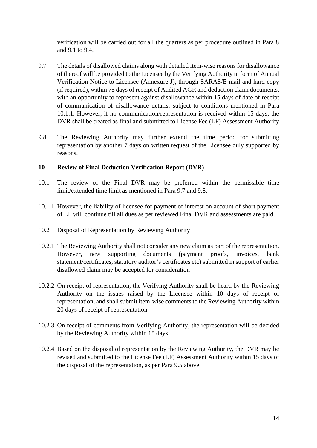verification will be carried out for all the quarters as per procedure outlined in Para 8 and 9.1 to 9.4.

- 9.7 The details of disallowed claims along with detailed item-wise reasons for disallowance of thereof will be provided to the Licensee by the Verifying Authority in form of Annual Verification Notice to Licensee (Annexure J), through SARAS/E-mail and hard copy (if required), within 75 days of receipt of Audited AGR and deduction claim documents, with an opportunity to represent against disallowance within 15 days of date of receipt of communication of disallowance details, subject to conditions mentioned in Para 10.1.1. However, if no communication/representation is received within 15 days, the DVR shall be treated as final and submitted to License Fee (LF) Assessment Authority
- 9.8 The Reviewing Authority may further extend the time period for submitting representation by another 7 days on written request of the Licensee duly supported by reasons.

#### <span id="page-14-0"></span>**10 Review of Final Deduction Verification Report (DVR)**

- 10.1 The review of the Final DVR may be preferred within the permissible time limit/extended time limit as mentioned in Para 9.7 and 9.8.
- 10.1.1 However, the liability of licensee for payment of interest on account of short payment of LF will continue till all dues as per reviewed Final DVR and assessments are paid.
- 10.2 Disposal of Representation by Reviewing Authority
- 10.2.1 The Reviewing Authority shall not consider any new claim as part of the representation. However, new supporting documents (payment proofs, invoices, bank statement/certificates, statutory auditor's certificates etc) submitted in support of earlier disallowed claim may be accepted for consideration
- 10.2.2 On receipt of representation, the Verifying Authority shall be heard by the Reviewing Authority on the issues raised by the Licensee within 10 days of receipt of representation, and shall submit item-wise comments to the Reviewing Authority within 20 days of receipt of representation
- 10.2.3 On receipt of comments from Verifying Authority, the representation will be decided by the Reviewing Authority within 15 days.
- 10.2.4 Based on the disposal of representation by the Reviewing Authority, the DVR may be revised and submitted to the License Fee (LF) Assessment Authority within 15 days of the disposal of the representation, as per Para 9.5 above.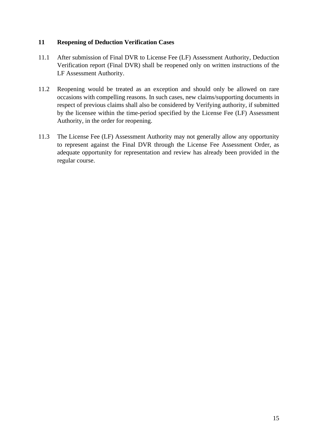#### <span id="page-15-0"></span>**11 Reopening of Deduction Verification Cases**

- 11.1 After submission of Final DVR to License Fee (LF) Assessment Authority, Deduction Verification report (Final DVR) shall be reopened only on written instructions of the LF Assessment Authority.
- 11.2 Reopening would be treated as an exception and should only be allowed on rare occasions with compelling reasons. In such cases, new claims/supporting documents in respect of previous claims shall also be considered by Verifying authority, if submitted by the licensee within the time-period specified by the License Fee (LF) Assessment Authority, in the order for reopening.
- 11.3 The License Fee (LF) Assessment Authority may not generally allow any opportunity to represent against the Final DVR through the License Fee Assessment Order, as adequate opportunity for representation and review has already been provided in the regular course.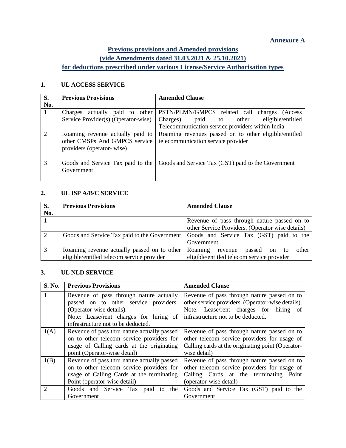#### **Annexure A**

# **Previous provisions and Amended provisions (vide Amendments dated 31.03.2021 & 25.10.2021) for deductions prescribed under various License/Service Authorisation types**

#### <span id="page-16-0"></span>**1. UL ACCESS SERVICE**

| S.                          | <b>Previous Provisions</b>                                                                     | <b>Amended Clause</b>                                                                       |
|-----------------------------|------------------------------------------------------------------------------------------------|---------------------------------------------------------------------------------------------|
| No.                         |                                                                                                |                                                                                             |
|                             | actually<br>paid to other<br>Charges                                                           | PSTN/PLMN/GMPCS related call charges<br>(Access)                                            |
|                             | Service Provider(s) (Operator-wise)                                                            | eligible/entitled<br>Charges)<br>paid to other                                              |
|                             |                                                                                                | Telecommunication service providers within India                                            |
| $\mathcal{D}_{\mathcal{L}}$ | Roaming revenue actually paid to<br>other CMSPs And GMPCS service<br>providers (operator-wise) | Roaming revenues passed on to other eligible/entitled<br>telecommunication service provider |
| $\mathcal{R}$               | Goods and Service Tax paid to the<br>Government                                                | Goods and Service Tax (GST) paid to the Government                                          |

#### **2. UL ISP A/B/C SERVICE**

| S.<br>No. | <b>Previous Provisions</b>                                                                | <b>Amended Clause</b>                                                                                |
|-----------|-------------------------------------------------------------------------------------------|------------------------------------------------------------------------------------------------------|
|           |                                                                                           | Revenue of pass through nature passed on to<br>other Service Providers. (Operator wise details)      |
| 2         |                                                                                           | Goods and Service Tax paid to the Government   Goods and Service Tax (GST) paid to the<br>Government |
|           | Roaming revenue actually passed on to other<br>eligible/entitled telecom service provider | Roaming<br>other<br>revenue<br>passed<br>on<br>to<br>eligible/entitled telecom service provider      |

#### **3. UL NLD SERVICE**

| S. No. | <b>Previous Provisions</b>                  | <b>Amended Clause</b>                             |
|--------|---------------------------------------------|---------------------------------------------------|
|        | Revenue of pass through nature actually     | Revenue of pass through nature passed on to       |
|        | passed on to other service providers.       | other service providers. (Operator-wise details). |
|        | (Operator-wise details).                    | Note: Lease/rent charges for hiring of            |
|        | Note: Lease/rent charges for hiring of      | infrastructure not to be deducted.                |
|        | infrastructure not to be deducted.          |                                                   |
| 1(A)   | Revenue of pass thru nature actually passed | Revenue of pass through nature passed on to       |
|        | on to other telecom service providers for   | other telecom service providers for usage of      |
|        | usage of Calling cards at the originating   | Calling cards at the originating point (Operator- |
|        | point (Operator-wise detail)                | wise detail)                                      |
| 1(B)   | Revenue of pass thru nature actually passed | Revenue of pass through nature passed on to       |
|        | on to other telecom service providers for   | other telecom service providers for usage of      |
|        | usage of Calling Cards at the terminating   | Calling Cards at the terminating Point            |
|        | Point (operator-wise detail)                | (operator-wise detail)                            |
|        | Goods and Service Tax paid to the           | Goods and Service Tax (GST) paid to the           |
|        | Government                                  | Government                                        |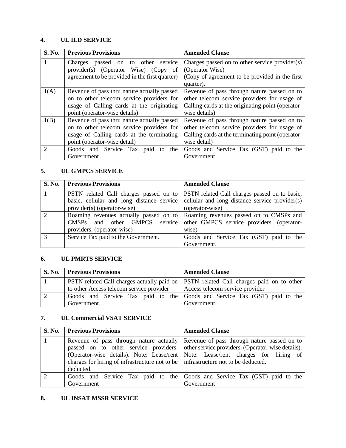#### **4. UL ILD SERVICE**

| S. No. | <b>Previous Provisions</b>                     | <b>Amended Clause</b>                             |
|--------|------------------------------------------------|---------------------------------------------------|
|        | passed on to other<br>service<br>Charges       | Charges passed on to other service provider(s)    |
|        | provider(s) (Operator Wise) (Copy<br>- of      | (Operator Wise)                                   |
|        | agreement to be provided in the first quarter) | (Copy of agreement to be provided in the first)   |
|        |                                                | quarter).                                         |
| 1(A)   | Revenue of pass thru nature actually passed    | Revenue of pass through nature passed on to       |
|        | on to other telecom service providers for      | other telecom service providers for usage of      |
|        | usage of Calling cards at the originating      | Calling cards at the originating point (operator- |
|        | point (operator-wise details)                  | wise details)                                     |
| 1(B)   | Revenue of pass thru nature actually passed    | Revenue of pass through nature passed on to       |
|        | on to other telecom service providers for      | other telecom service providers for usage of      |
|        | usage of Calling cards at the terminating      | Calling cards at the terminating point (operator- |
|        | point (operator-wise detail)                   | wise detail)                                      |
|        | Goods and Service Tax paid to<br>the           | Goods and Service Tax (GST) paid to the           |
|        | Government                                     | Government                                        |

#### **5. UL GMPCS SERVICE**

| S. No.        | <b>Previous Provisions</b>                | <b>Amended Clause</b>                                                                  |
|---------------|-------------------------------------------|----------------------------------------------------------------------------------------|
|               |                                           | PSTN related Call charges passed on to   PSTN related Call charges passed on to basic, |
|               | basic, cellular and long distance service | cellular and long distance service provider(s)                                         |
|               | provider(s) (operator-wise)               | (operator-wise)                                                                        |
|               |                                           | Roaming revenues actually passed on to Roaming revenues passed on to CMSPs and         |
|               | CMSPs and other GMPCS service             | other GMPCS service providers. (operator-                                              |
|               | providers. (operator-wise)                | wise)                                                                                  |
| $\mathcal{R}$ | Service Tax paid to the Government.       | Goods and Service Tax (GST) paid to the                                                |
|               |                                           | Government.                                                                            |

# **6. UL PMRTS SERVICE**

| <b>S. No.</b> Previous Provisions        | <b>Amended Clause</b>                                                                               |
|------------------------------------------|-----------------------------------------------------------------------------------------------------|
|                                          | <b>PSTN</b> related Call charges actually paid on <b>PSTN</b> related Call charges paid on to other |
| to other Access telecom service provider | Access telecom service provider                                                                     |
|                                          | Goods and Service Tax paid to the Goods and Service Tax (GST) paid to the                           |
| Government.                              | Government.                                                                                         |

#### **7. UL Commercial VSAT SERVICE**

| <b>S. No.</b> | <b>Previous Provisions</b>                                                                                 | <b>Amended Clause</b>                                                                                                                                                                                                                                              |
|---------------|------------------------------------------------------------------------------------------------------------|--------------------------------------------------------------------------------------------------------------------------------------------------------------------------------------------------------------------------------------------------------------------|
|               | charges for hiring of infrastructure not to be $\parallel$ infrastructure not to be deducted.<br>deducted. | Revenue of pass through nature actually Revenue of pass through nature passed on to<br>passed on to other service providers. other service providers. (Operator-wise details).<br>(Operator-wise details). Note: Lease/rent Note: Lease/rent charges for hiring of |
|               | Government                                                                                                 | Goods and Service Tax paid to the Goods and Service Tax (GST) paid to the<br>Government                                                                                                                                                                            |

#### **8. UL INSAT MSSR SERVICE**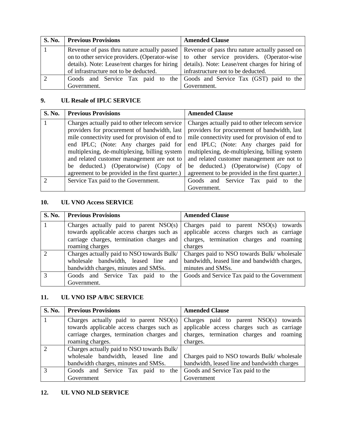| <b>S. No.</b> | <b>Previous Provisions</b>                    | <b>Amended Clause</b>                                                                        |
|---------------|-----------------------------------------------|----------------------------------------------------------------------------------------------|
|               |                                               | Revenue of pass thru nature actually passed   Revenue of pass thru nature actually passed on |
|               |                                               | on to other service providers. (Operator-wise to other service providers. (Operator-wise     |
|               | details). Note: Lease/rent charges for hiring | details). Note: Lease/rent charges for hiring of                                             |
|               | of infrastructure not to be deducted.         | infrastructure not to be deducted.                                                           |
|               |                                               | Goods and Service Tax paid to the Goods and Service Tax (GST) paid to the                    |
|               | Government.                                   | Government.                                                                                  |

## **9. UL Resale of IPLC SERVICE**

| S. No. | <b>Previous Provisions</b>                      | <b>Amended Clause</b>                           |
|--------|-------------------------------------------------|-------------------------------------------------|
|        | Charges actually paid to other telecom service  | Charges actually paid to other telecom service  |
|        | providers for procurement of bandwidth, last    | providers for procurement of bandwidth, last    |
|        | mile connectivity used for provision of end to  | mile connectivity used for provision of end to  |
|        | end IPLC; (Note: Any charges paid for           | end IPLC; (Note: Any charges paid for           |
|        | multiplexing, de-multiplexing, billing system   | multiplexing, de-multiplexing, billing system   |
|        | and related customer management are not to      | and related customer management are not to      |
|        | be deducted.) (Operatorwise) (Copy of           | be deducted.) (Operatorwise) (Copy of           |
|        | agreement to be provided in the first quarter.) | agreement to be provided in the first quarter.) |
|        | Service Tax paid to the Government.             | Goods and Service Tax<br>paid<br>the<br>to      |
|        |                                                 | Government.                                     |

#### **10. UL VNO Access SERVICE**

| <b>S. No.</b> | <b>Previous Provisions</b>                 | <b>Amended Clause</b>                         |
|---------------|--------------------------------------------|-----------------------------------------------|
|               | Charges actually paid to parent $NSO(s)$   | Charges paid to parent $NSO(s)$ towards       |
|               | towards applicable access charges such as  | applicable access charges such as carriage    |
|               | carriage charges, termination charges and  | charges, termination charges and roaming      |
|               | roaming charges                            | charges                                       |
|               | Charges actually paid to NSO towards Bulk/ | Charges paid to NSO towards Bulk/ wholesale   |
|               | wholesale bandwidth, leased line and       | bandwidth, leased line and bandwidth charges, |
|               | bandwidth charges, minutes and SMSs.       | minutes and SMSs.                             |
| $\mathcal{R}$ | Goods and Service Tax paid to the          | Goods and Service Tax paid to the Government  |
|               | Government.                                |                                               |

# **11. UL VNO ISP A/B/C SERVICE**

| S. No.        | <b>Previous Provisions</b>                 | <b>Amended Clause</b>                        |
|---------------|--------------------------------------------|----------------------------------------------|
|               | Charges actually paid to parent $NSO(s)$   | Charges paid to parent $NSO(s)$ towards      |
|               | towards applicable access charges such as  | applicable access charges such as carriage   |
|               | carriage charges, termination charges and  | charges, termination charges and roaming     |
|               | roaming charges.                           | charges.                                     |
|               | Charges actually paid to NSO towards Bulk/ |                                              |
|               | wholesale bandwidth, leased line and       | Charges paid to NSO towards Bulk/ wholesale  |
|               | bandwidth charges, minutes and SMSs.       | bandwidth, leased line and bandwidth charges |
| $\mathcal{R}$ | Goods and Service Tax paid to<br>the 1     | Goods and Service Tax paid to the            |
|               | Government                                 | Government                                   |

#### **12. UL VNO NLD SERVICE**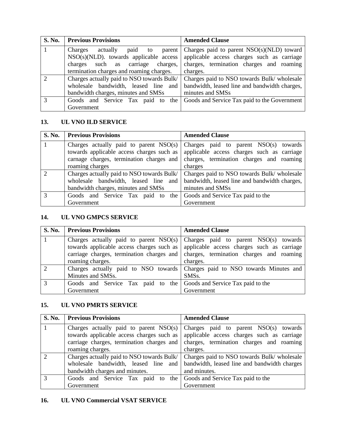| <b>S. No.</b> | <b>Previous Provisions</b>                 | <b>Amended Clause</b>                         |
|---------------|--------------------------------------------|-----------------------------------------------|
|               | actually<br>paid to<br>Charges<br>parent   | Charges paid to parent $NSO(s)(NLD)$ toward   |
|               | $NSO(s)(NLD)$ , towards applicable access  | applicable access charges such as carriage    |
|               | charges such as carriage charges,          | charges, termination charges and roaming      |
|               | termination charges and roaming charges.   | charges.                                      |
|               | Charges actually paid to NSO towards Bulk/ | Charges paid to NSO towards Bulk/ wholesale   |
|               | wholesale bandwidth, leased line and       | bandwidth, leased line and bandwidth charges, |
|               | bandwidth charges, minutes and SMSs        | minutes and SMSs                              |
| $\mathcal{R}$ | Goods and Service Tax paid to<br>the 1     | Goods and Service Tax paid to the Government  |
|               | Government                                 |                                               |

#### **13. UL VNO ILD SERVICE**

| S. No. | <b>Previous Provisions</b>                 | <b>Amended Clause</b>                         |
|--------|--------------------------------------------|-----------------------------------------------|
|        | Charges actually paid to parent NSO(s)     | Charges paid to parent $NSO(s)$ towards       |
|        | towards applicable access charges such as  | applicable access charges such as carriage    |
|        | carnage charges, termination charges and   | charges, termination charges and roaming      |
|        | roaming charges                            | charges                                       |
|        | Charges actually paid to NSO towards Bulk/ | Charges paid to NSO towards Bulk/ wholesale   |
|        | wholesale bandwidth, leased line and       | bandwidth, leased line and bandwidth charges, |
|        | bandwidth charges, minutes and SMSs        | minutes and SMSs                              |
| 3      | Goods and Service Tax paid to the          | Goods and Service Tax paid to the             |
|        | Government                                 | Government                                    |

#### **14. UL VNO GMPCS SERVICE**

|               | S. No. Previous Provisions                                          | <b>Amended Clause</b>                                                        |
|---------------|---------------------------------------------------------------------|------------------------------------------------------------------------------|
|               | Charges actually paid to parent $NSO(s)$                            | Charges paid to parent NSO(s) towards                                        |
|               | towards applicable access charges such as                           | applicable access charges such as carriage                                   |
|               | carriage charges, termination charges and                           | charges, termination charges and roaming                                     |
|               | roaming charges.                                                    | charges.                                                                     |
| $\mathcal{D}$ |                                                                     | Charges actually paid to NSO towards Charges paid to NSO towards Minutes and |
|               | Minutes and SMSs.                                                   | SMS <sub>s</sub> .                                                           |
| $\mathcal{R}$ | Goods and Service Tax paid to the Goods and Service Tax paid to the |                                                                              |
|               | Government                                                          | Government                                                                   |

# **15. UL VNO PMRTS SERVICE**

| S. No.        | <b>Previous Provisions</b>                                                          | <b>Amended Clause</b>                                                                 |
|---------------|-------------------------------------------------------------------------------------|---------------------------------------------------------------------------------------|
|               | Charges actually paid to parent NSO(s)<br>towards applicable access charges such as | Charges paid to parent $NSO(s)$ towards<br>applicable access charges such as carriage |
|               | carriage charges, termination charges and                                           | charges, termination charges and roaming                                              |
|               | roaming charges.                                                                    | charges.                                                                              |
| $\Omega$      | Charges actually paid to NSO towards Bulk/                                          | Charges paid to NSO towards Bulk/ wholesale                                           |
|               | wholesale bandwidth, leased line and                                                | bandwidth, leased line and bandwidth charges                                          |
|               | bandwidth charges and minutes.                                                      | and minutes.                                                                          |
| $\mathcal{R}$ | Goods and Service Tax paid to the Goods and Service Tax paid to the                 |                                                                                       |
|               | Government                                                                          | Government                                                                            |

# **16. UL VNO Commercial VSAT SERVICE**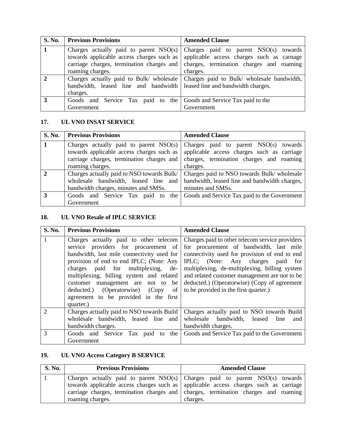| <b>S. No.</b> | <b>Previous Provisions</b>                                              | <b>Amended Clause</b>                                                               |
|---------------|-------------------------------------------------------------------------|-------------------------------------------------------------------------------------|
|               | Charges actually paid to parent $NSO(s)$                                | Charges paid to parent NSO(s) towards                                               |
|               | towards applicable access charges such as                               | applicable access charges such as carnage                                           |
|               | carriage charges, termination charges and                               | charges, termination charges and roaming                                            |
|               | roaming charges.                                                        | charges.                                                                            |
|               |                                                                         | Charges actually paid to Bulk/ wholesale Charges paid to Bulk/ wholesale bandwidth, |
|               | bandwidth, leased line and bandwidth leased line and bandwidth charges. |                                                                                     |
|               | charges.                                                                |                                                                                     |
| 3             | Goods and Service Tax paid to the Goods and Service Tax paid to the     |                                                                                     |
|               | Government                                                              | Government                                                                          |

# **17. UL VNO INSAT SERVICE**

| <b>S. No.</b> | <b>Previous Provisions</b>                 | <b>Amended Clause</b>                         |
|---------------|--------------------------------------------|-----------------------------------------------|
|               | Charges actually paid to parent NSO(s)     | Charges paid to parent $NSO(s)$ towards       |
|               | towards applicable access charges such as  | applicable access charges such as carriage    |
|               | carriage charges, termination charges and  | charges, termination charges and roaming      |
|               | roaming charges.                           | charges.                                      |
|               | Charges actually paid to NSO towards Bulk/ | Charges paid to NSO towards Bulk/ wholesale   |
|               | wholesale bandwidth, leased line and       | bandwidth, leased line and bandwidth charges, |
|               | bandwidth charges, minutes and SMSs.       | minutes and SMSs.                             |
| 3             | Goods and Service Tax paid to the          | Goods and Service Tax paid to the Government  |
|               | Government                                 |                                               |

#### **18. UL VNO Resale of IPLC SERVICE**

| S. No.        | <b>Previous Provisions</b>                                                                                                                                                                                                                                                                                                                                                                           | <b>Amended Clause</b>                                                                                                                                                                                                                                                                                                                                                       |
|---------------|------------------------------------------------------------------------------------------------------------------------------------------------------------------------------------------------------------------------------------------------------------------------------------------------------------------------------------------------------------------------------------------------------|-----------------------------------------------------------------------------------------------------------------------------------------------------------------------------------------------------------------------------------------------------------------------------------------------------------------------------------------------------------------------------|
| $\mathbf{1}$  | Charges actually paid to other telecom<br>service providers for procurement of<br>bandwidth, last mile connectivity used for<br>provision of end to end IPLC; (Note: Any<br>charges paid for multiplexing,<br>de-<br>multiplexing, billing system and related<br>customer management are not to<br>be<br>deducted.) (Operatorwise) (Copy<br>of<br>agreement to be provided in the first<br>quarter.) | Charges paid to other telecom service providers<br>for procurement of bandwidth, last mile<br>connectivity used for provision of end to end<br>IPLC; (Note: Any charges paid for<br>multiplexing, de-multiplexing, billing system<br>and related customer management are not to be<br>deducted.) (Operatorwise) (Copy of agreement<br>to be provided in the first quarter.) |
| $\mathcal{D}$ | Charges actually paid to NSO towards Build<br>wholesale bandwidth, leased line and<br>bandwidth charges.                                                                                                                                                                                                                                                                                             | Charges actually paid to NSO towards Build<br>wholesale bandwidth, leased<br>line<br>and<br>bandwidth charges.                                                                                                                                                                                                                                                              |
| $\mathcal{R}$ | Goods and Service Tax paid to the<br>Government                                                                                                                                                                                                                                                                                                                                                      | Goods and Service Tax paid to the Government                                                                                                                                                                                                                                                                                                                                |

# **19. UL VNO Access Category B SERVICE**

| <b>S. No.</b> | <b>Previous Provisions</b> | <b>Amended Clause</b>                                                                |
|---------------|----------------------------|--------------------------------------------------------------------------------------|
|               |                            | Charges actually paid to parent $NSO(s)$ Charges paid to parent $NSO(s)$ towards     |
|               |                            | towards applicable access charges such as applicable access charges such as carriage |
|               |                            | carriage charges, termination charges and charges, termination charges and roaming   |
|               | roaming charges.           | charges.                                                                             |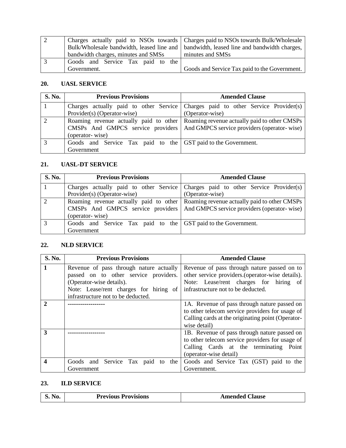|                                      | Charges actually paid to NSOs towards Charges paid to NSOs towards Bulk/Wholesale         |
|--------------------------------------|-------------------------------------------------------------------------------------------|
|                                      | Bulk/Wholesale bandwidth, leased line and   bandwidth, leased line and bandwidth charges, |
| bandwidth charges, minutes and SMSs  | minutes and SMSs                                                                          |
| Goods and Service Tax paid to<br>the |                                                                                           |
| Government.                          | Goods and Service Tax paid to the Government.                                             |

## **20. UASL SERVICE**

| <b>S. No.</b>  | <b>Previous Provisions</b>                                    | <b>Amended Clause</b>                                                               |
|----------------|---------------------------------------------------------------|-------------------------------------------------------------------------------------|
|                |                                                               | Charges actually paid to other Service Charges paid to other Service Provider(s)    |
|                | Provider(s) (Operator-wise)                                   | (Operator-wise)                                                                     |
| $\overline{2}$ |                                                               | Roaming revenue actually paid to other Roaming revenue actually paid to other CMSPs |
|                | CMSPs And GMPCS service providers                             | And GMPCS service providers (operator-wise)                                         |
|                | (operator-wise)                                               |                                                                                     |
| 3              | Goods and Service Tax paid to the GST paid to the Government. |                                                                                     |
|                | Government                                                    |                                                                                     |

## **21. UASL-DT SERVICE**

| <b>S. No.</b> | <b>Previous Provisions</b>                                    | <b>Amended Clause</b>                                                               |
|---------------|---------------------------------------------------------------|-------------------------------------------------------------------------------------|
|               |                                                               | Charges actually paid to other Service Charges paid to other Service Provider(s)    |
|               | Provider(s) (Operator-wise)                                   | (Operator-wise)                                                                     |
|               |                                                               | Roaming revenue actually paid to other Roaming revenue actually paid to other CMSPs |
|               |                                                               | CMSPs And GMPCS service providers   And GMPCS service providers (operator-wise)     |
|               | (operator-wise)                                               |                                                                                     |
| $\mathbf{z}$  | Goods and Service Tax paid to the GST paid to the Government. |                                                                                     |
|               | Government                                                    |                                                                                     |

# **22. NLD SERVICE**

| S. No.        | <b>Previous Provisions</b>              | <b>Amended Clause</b>                             |
|---------------|-----------------------------------------|---------------------------------------------------|
| $\mathbf{1}$  | Revenue of pass through nature actually | Revenue of pass through nature passed on to       |
|               | passed on to other service providers.   | other service providers. (operator-wise details). |
|               | (Operator-wise details).                | Note: Lease/rent charges for hiring of            |
|               | Note: Lease/rent charges for hiring of  | infrastructure not to be deducted.                |
|               | infrastructure not to be deducted.      |                                                   |
| $\mathcal{P}$ |                                         | 1A. Revenue of pass through nature passed on      |
|               |                                         | to other telecom service providers for usage of   |
|               |                                         | Calling cards at the originating point (Operator- |
|               |                                         | wise detail)                                      |
| 3             |                                         | 1B. Revenue of pass through nature passed on      |
|               |                                         | to other telecom service providers for usage of   |
|               |                                         | Calling Cards at the terminating<br>Point         |
|               |                                         | (operator-wise detail)                            |
| 4             | Goods and Service Tax paid to the       | Goods and Service Tax (GST) paid to the           |
|               | Government                              | Government.                                       |

#### **23. ILD SERVICE**

| <b>S. No.</b> | <b>Previous Provisions</b> | <b>Amended Clause</b> |
|---------------|----------------------------|-----------------------|
|---------------|----------------------------|-----------------------|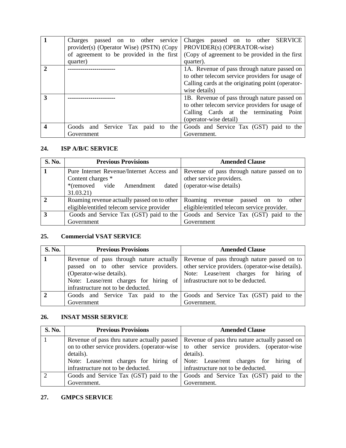|   | passed on to other<br><b>Charges</b><br>service<br>provider(s) (Operator Wise) (PSTN) (Copy | passed on to other SERVICE<br>Charges<br>PROVIDER(s) (OPERATOR-wise) |
|---|---------------------------------------------------------------------------------------------|----------------------------------------------------------------------|
|   | of agreement to be provided in the first                                                    | (Copy of agreement to be provided in the first                       |
|   | quarter)                                                                                    | quarter).                                                            |
|   |                                                                                             | 1A. Revenue of pass through nature passed on                         |
|   |                                                                                             | to other telecom service providers for usage of                      |
|   |                                                                                             | Calling cards at the originating point (operator-                    |
|   |                                                                                             | wise details)                                                        |
| 3 |                                                                                             | 1B. Revenue of pass through nature passed on                         |
|   |                                                                                             | to other telecom service providers for usage of                      |
|   |                                                                                             | Calling Cards at the terminating<br>Point                            |
|   |                                                                                             | (operator-wise detail)                                               |
|   | Goods and Service Tax paid to<br>the                                                        | Goods and Service Tax (GST) paid to the                              |
|   | Government                                                                                  | Government.                                                          |

#### **24. ISP A/B/C SERVICE**

| <b>S. No.</b> | <b>Previous Provisions</b>                                                                                          | <b>Amended Clause</b>                                                                              |
|---------------|---------------------------------------------------------------------------------------------------------------------|----------------------------------------------------------------------------------------------------|
|               | Pure Internet Revenue/Internet Access and<br>Content charges *<br>*(removed vide<br>Amendment<br>dated<br>31.03.21) | Revenue of pass through nature passed on to<br>other service providers.<br>(operator-wise details) |
|               | Roaming revenue actually passed on to other<br>eligible/entitled telecom service provider                           | Roaming revenue<br>passed on to<br>other<br>eligible/entitled telecom service provider.            |
| 3             | Goods and Service Tax (GST) paid to the<br>Government                                                               | Goods and Service Tax (GST) paid to the<br>Government                                              |

# **25. Commercial VSAT SERVICE**

| <b>S. No.</b> | <b>Previous Provisions</b>                                                | <b>Amended Clause</b>                                                                   |
|---------------|---------------------------------------------------------------------------|-----------------------------------------------------------------------------------------|
|               |                                                                           | Revenue of pass through nature actually Revenue of pass through nature passed on to     |
|               |                                                                           | passed on to other service providers. other service providers. (operator-wise details). |
|               | (Operator-wise details).                                                  | Note: Lease/rent charges for hiring of                                                  |
|               | Note: Lease/rent charges for hiring of infrastructure not to be deducted. |                                                                                         |
|               | infrastructure not to be deducted.                                        |                                                                                         |
|               |                                                                           | Goods and Service Tax paid to the Goods and Service Tax (GST) paid to the               |
|               | Government                                                                | Government.                                                                             |

## **26. INSAT MSSR SERVICE**

| <b>S. No.</b> | <b>Previous Provisions</b>         | <b>Amended Clause</b>                                                                        |
|---------------|------------------------------------|----------------------------------------------------------------------------------------------|
|               |                                    | Revenue of pass thru nature actually passed   Revenue of pass thru nature actually passed on |
|               |                                    | on to other service providers. (operator-wise to other service providers. (operator-wise     |
|               | details).                          | details).                                                                                    |
|               |                                    | Note: Lease/rent charges for hiring of Note: Lease/rent charges for hiring of                |
|               | infrastructure not to be deducted. | infrastructure not to be deducted.                                                           |
|               |                                    | Goods and Service Tax (GST) paid to the Goods and Service Tax (GST) paid to the              |
|               | Government.                        | Government.                                                                                  |

# **27. GMPCS SERVICE**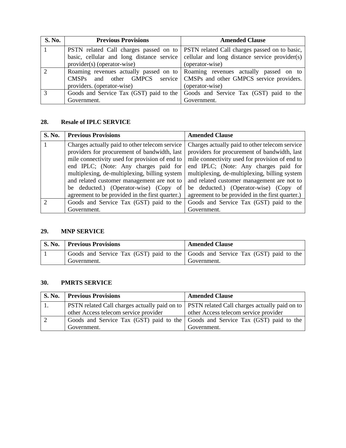| <b>S. No.</b> | <b>Previous Provisions</b>                | <b>Amended Clause</b>                                                           |
|---------------|-------------------------------------------|---------------------------------------------------------------------------------|
|               | PSTN related Call charges passed on to    | PSTN related Call charges passed on to basic,                                   |
|               | basic, cellular and long distance service | cellular and long distance service provider(s)                                  |
|               | provider(s) (operator-wise)               | (operator-wise)                                                                 |
| $\mathcal{D}$ |                                           | Roaming revenues actually passed on to Roaming revenues actually passed on to   |
|               |                                           | CMSPs and other GMPCS service CMSPs and other GMPCS service providers.          |
|               | providers. (operator-wise)                | (operator-wise)                                                                 |
| 3             |                                           | Goods and Service Tax (GST) paid to the Goods and Service Tax (GST) paid to the |
|               | Government.                               | Government.                                                                     |

#### **28. Resale of IPLC SERVICE**

| S. No.        | <b>Previous Provisions</b>                                                                                                                                                                                                                                                                                                         | <b>Amended Clause</b>                                                                                                                                                                                                                                                                                                              |
|---------------|------------------------------------------------------------------------------------------------------------------------------------------------------------------------------------------------------------------------------------------------------------------------------------------------------------------------------------|------------------------------------------------------------------------------------------------------------------------------------------------------------------------------------------------------------------------------------------------------------------------------------------------------------------------------------|
|               | Charges actually paid to other telecom service<br>providers for procurement of bandwidth, last<br>mile connectivity used for provision of end to<br>end IPLC; (Note: Any charges paid for<br>multiplexing, de-multiplexing, billing system<br>and related customer management are not to<br>be deducted.) (Operator-wise) (Copy of | Charges actually paid to other telecom service<br>providers for procurement of bandwidth, last<br>mile connectivity used for provision of end to<br>end IPLC; (Note: Any charges paid for<br>multiplexing, de-multiplexing, billing system<br>and related customer management are not to<br>be deducted.) (Operator-wise) (Copy of |
|               | agreement to be provided in the first quarter.)                                                                                                                                                                                                                                                                                    | agreement to be provided in the first quarter.)                                                                                                                                                                                                                                                                                    |
| $\mathcal{D}$ | Goods and Service Tax (GST) paid to the                                                                                                                                                                                                                                                                                            | Goods and Service Tax (GST) paid to the                                                                                                                                                                                                                                                                                            |
|               | Government.                                                                                                                                                                                                                                                                                                                        | Government.                                                                                                                                                                                                                                                                                                                        |

## **29. MNP SERVICE**

| <b>S. No.</b> | <b>Previous Provisions</b>                                                      | <b>Amended Clause</b> |
|---------------|---------------------------------------------------------------------------------|-----------------------|
|               | Goods and Service Tax (GST) paid to the Goods and Service Tax (GST) paid to the |                       |
|               | Government.                                                                     | Government.           |

#### **30. PMRTS SERVICE**

| <b>S. No.</b> | <b>Previous Provisions</b>            | <b>Amended Clause</b>                                                                                     |
|---------------|---------------------------------------|-----------------------------------------------------------------------------------------------------------|
|               |                                       | <b>PSTN</b> related Call charges actually paid on to <b>PSTN</b> related Call charges actually paid on to |
|               | other Access telecom service provider | other Access telecom service provider                                                                     |
|               |                                       | Goods and Service Tax (GST) paid to the Goods and Service Tax (GST) paid to the                           |
|               | Government.                           | Government.                                                                                               |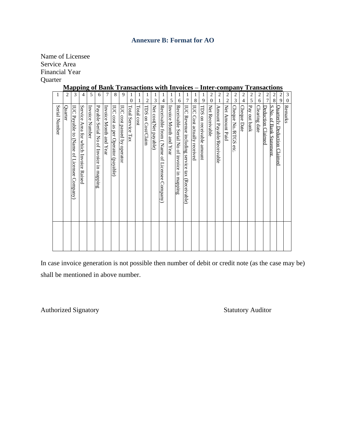#### **Annexure B: Format for AO**

Name of Licensee Service Area Financial Year **Quarter** 

## **Mapping of Bank Transactions with Invoices – Inter-company Transactions**

| Serial Number                                               | 1                                  |
|-------------------------------------------------------------|------------------------------------|
| <b>Quarter</b>                                              | 2                                  |
| IUC Payable to (Name of Licensee Company)                   | 3                                  |
| Service Area for which Invoice Raised                       | 4                                  |
| Invoice Number                                              | 5                                  |
| Payable Serial No of Invoice in mapping                     | 6                                  |
| Invoice Month and Year                                      | 7                                  |
| IUC cost as per Operator (payable)                          | 8                                  |
| IUC cost passed by operator                                 | 9                                  |
| Total Service Tax                                           | 1<br>$\boldsymbol{0}$              |
| Total cost                                                  | 1                                  |
| TDS on Cost/Claim                                           | 1<br>2                             |
| Net cost(Net payable)                                       | 1<br>3                             |
| Receivable from (Name of Licensee Company)                  | 1<br>4                             |
| Invoice Month and Year                                      | 1<br>5                             |
| Receivable Serial No of invoice in mapping                  | 1<br>6                             |
| <b>IUC</b><br>Revenue including service tax<br>(Receivable) | 1<br>7                             |
| IUC Cost actually received                                  | 1<br>$\,8$                         |
| TDS on receivable amount                                    | 1<br>9                             |
| Net Receivable                                              | $\overline{c}$<br>$\boldsymbol{0}$ |
| Amount Payable/Receivable                                   | 2<br>1                             |
| Net Amount Paid                                             | $\overline{c}$<br>$\overline{2}$   |
| Cheque No./RTGS<br>etc                                      | $\overline{\mathbf{c}}$<br>3       |
| Cheque Date                                                 | $\overline{c}$<br>$\overline{4}$   |
| Pay out bank                                                | $\overline{\mathbf{c}}$<br>5       |
| Clearing date                                               | $\overline{c}$<br>6                |
| Deduction Claimed                                           | $\frac{2}{7}$                      |
| S.No. of Bank Statement                                     | $\overline{\mathbf{c}}$<br>$8\,$   |
| <b>Ouarterly Deduction Claimed</b>                          | $\overline{\mathbf{c}}$<br>9       |
| Remarks                                                     | $\mathfrak{Z}$<br>$\boldsymbol{0}$ |
|                                                             |                                    |

In case invoice generation is not possible then number of debit or credit note (as the case may be) shall be mentioned in above number.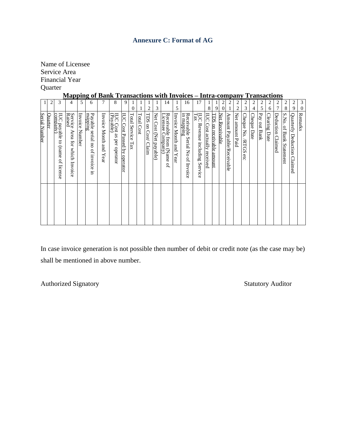## **Annexure C: Format of AG**

Name of Licensee Service Area Financial Year **Quarter** 

# **Mapping of Bank Transactions with Invoices – Intra-company Transactions**

|               | $\overline{c}$ | 3                                                | 4                                                 | 5              | 6                                        | 7                         | 8                                     | 9                           | $\mathbf{0}$         | 1               |                        | 1<br>3                 | 14                                                                     | 1<br>5                 | 16                                               | 17                                         | 1<br>8                       | 9                                  | $\overline{\mathbf{c}}$<br>$\boldsymbol{0}$ | $\overline{\mathbf{c}}$        | $\overline{c}$<br>2 | $\overline{c}$<br>3     | $\overline{c}$   | $\overline{\mathbf{c}}$<br>5 | $\overline{c}$     | $\overline{\mathbf{c}}$<br>7 | $\overline{c}$<br>8     | $\overline{\mathbf{c}}$<br>9 | 3<br>$\mathbf{0}$ |
|---------------|----------------|--------------------------------------------------|---------------------------------------------------|----------------|------------------------------------------|---------------------------|---------------------------------------|-----------------------------|----------------------|-----------------|------------------------|------------------------|------------------------------------------------------------------------|------------------------|--------------------------------------------------|--------------------------------------------|------------------------------|------------------------------------|---------------------------------------------|--------------------------------|---------------------|-------------------------|------------------|------------------------------|--------------------|------------------------------|-------------------------|------------------------------|-------------------|
| Serial Number | <b>Ouarter</b> | IUC payable to (name<br>company)<br>ď<br>license | Service<br>Raised<br>Area for<br>which<br>Invoice | Invoice Number | mapmg<br>Payable serial no of invoice in | Invoice Month and<br>Year | IUC Cost as per operator<br>(Payable) | IUC Cost Passed by operator | Total Service<br>Tax | 1<br>Total Cost | 2<br>TDS on Cost/Claim | Net Cost (Net payable) | Receivable from (N.<br>Licensee Company)<br>from (Name<br>$\mathbf{a}$ | Invoice Month and Year | Receivable<br>in mapping<br>Serial No of Invoice | <b>Tax</b><br>Revenue including<br>Service | EC<br>Cost actually received | <b>TDS</b><br>on receivable amount | Net Receivable                              | 1<br>Amount Payable/Receivable | Net amount Paid     | Cheque No. /RTGS<br>etc | 4<br>Cheque Date | Pay out Bank                 | 6<br>Clearing Date | Deduction Claimed            | S.No. of Bank Statement | Quarterly Deduction Claimed  | Remarks           |
|               |                |                                                  |                                                   |                |                                          |                           |                                       |                             |                      |                 |                        |                        |                                                                        |                        |                                                  |                                            |                              |                                    |                                             |                                |                     |                         |                  |                              |                    |                              |                         |                              |                   |

In case invoice generation is not possible then number of debit or credit note (as the case may be) shall be mentioned in above number.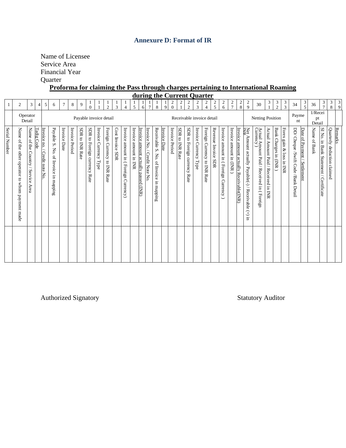#### **Annexure D: Format of IR**

Name of Licensee Service Area Financial Year **Quarter** 

**Proforma for claiming the Pass through charges pertaining to International Roaming** 

|               |                                                 |                                               |                |                                  |                                      |              |                |                 |                                 |                       |                              |                  |                                      |                          |                                      |                                        |                                                     |              |                                         |                 |                                  | during the Current Quarter |                                             |                     |                                     |                         |                                        |                                                           |                                                          |                                      |                       |                          |                                     |                              |                         |                                           |                             |               |
|---------------|-------------------------------------------------|-----------------------------------------------|----------------|----------------------------------|--------------------------------------|--------------|----------------|-----------------|---------------------------------|-----------------------|------------------------------|------------------|--------------------------------------|--------------------------|--------------------------------------|----------------------------------------|-----------------------------------------------------|--------------|-----------------------------------------|-----------------|----------------------------------|----------------------------|---------------------------------------------|---------------------|-------------------------------------|-------------------------|----------------------------------------|-----------------------------------------------------------|----------------------------------------------------------|--------------------------------------|-----------------------|--------------------------|-------------------------------------|------------------------------|-------------------------|-------------------------------------------|-----------------------------|---------------|
|               | $\mathfrak{2}$                                  | 3                                             | $\overline{4}$ | 5                                | 6                                    | $\tau$       | $\,$ 8 $\,$    | 9               | $\frac{1}{0}$                   |                       | $\frac{1}{2}$                | $\overline{3}$   | 4                                    | 5                        | 6                                    | $\tau$                                 | 8                                                   | 9            | $\overline{\mathbf{c}}$<br>$\mathbf{0}$ | $\overline{c}$  | $\overline{c}$<br>$\overline{2}$ | $\overline{c}$<br>3        | 2<br>$\overline{4}$                         | $\frac{2}{5}$       | $\overline{\mathbf{c}}$<br>6        | $\frac{2}{7}$           | $\frac{2}{8}$                          | $\frac{2}{9}$                                             | 30                                                       | 3                                    | $\frac{3}{2}$         | $\frac{3}{3}$            | 34                                  | $\frac{3}{5}$                | 36                      | $\frac{3}{7}$                             | $\frac{3}{8}$               | $\frac{3}{9}$ |
|               |                                                 | Operator<br>Detail                            |                |                                  |                                      |              |                |                 |                                 |                       | Payable invoice detail       |                  |                                      |                          |                                      |                                        |                                                     |              |                                         |                 |                                  | Receivable invoice detail  |                                             |                     |                                     |                         |                                        |                                                           | Netting Position                                         |                                      |                       |                          | Payme<br>nt                         |                              | 1/Recei<br>pt<br>Detail |                                           |                             |               |
| Serial Number | Name of the other operator to whom payment made | Name of the<br>Country /<br>/ Service<br>Area | Tadig Code     | Invoice no.<br>Credit note<br>Κò | Payable S. No. of Invoice in mapping | Invoice Date | Invoice Period | SDR to INR Rate | SDR to Foreign currency<br>Rate | Invoice Currency Type | Foreign Currency to INR Rate | Cost Invoice SDR | Invoice amount in (Foreign Currency) | Invoice<br>amount in INR | Invoice amount actually passed (INR) | Invoice No.<br><b>Credit Note</b><br>Š | Receivable S.<br>$\rm{No}$<br>of Invoice in mapping | Invoice Date | Invoice Period                          | SDR to INR Rate | SDR to Foreign currency<br>Rate  | Invoice Currency Type      | Foreign<br>Currency to<br><b>NR</b><br>Rate | Revenue Invoice SDR | Invoice amount in (Foreign Currency | Invoice amount in (INR) | Invoice amount actually Receivable(INR | Net Amount actually Payable(-) / Receivable (+) in<br>INR | Actual Amount Paid / Received in ( Foreign<br>Currency ) | Actual Amount Paid / Received in INR | Bank Charges in (INR) | Forex gain & loss in INR | DD/ Cheque /Swift Code /Bank Detail | Date of Payment / Settlement | Name of Bank            | SI No. in Bank Statement /<br>Certificate | Quarterly deduction claimed | Remarks       |
|               |                                                 |                                               |                |                                  |                                      |              |                |                 |                                 |                       |                              |                  |                                      |                          |                                      |                                        |                                                     |              |                                         |                 |                                  |                            |                                             |                     |                                     |                         |                                        |                                                           |                                                          |                                      |                       |                          |                                     |                              |                         |                                           |                             |               |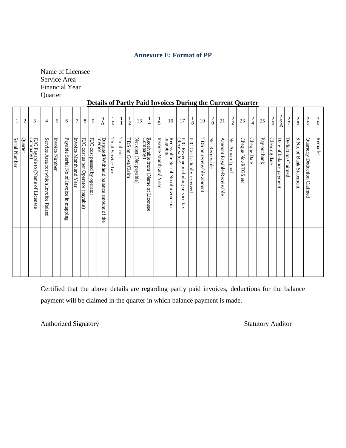# **Annexure E: Format of PP**

Name of Licensee Service Area Financial Year **Quarter** 

#### **Details of Partly Paid Invoices During the Current Quarter**

| Serial Number                                      |                |
|----------------------------------------------------|----------------|
| Quarter                                            | $\overline{c}$ |
| IUC Payable to (Name of Licensee<br>Company)       | 3              |
| Service<br>Area for which<br>Invoice Raised        | 4              |
| Invoice Number                                     | 5              |
| Payable Serial No of Invoice in mapping            | 6              |
| Invoice Month and Year                             | $\tau$         |
| IUC cost as per Operator (payable)                 | 8              |
| IUC cost passed by operator                        | 9              |
| Disputed/Withheld balance amount of the<br>invoice | $^{9}_{\rm A}$ |
| Total Service Tax                                  | $\frac{1}{0}$  |
| Total cost                                         |                |
| TDS on Cost/Claim                                  | $\frac{1}{2}$  |
| Net cost (Net payable)                             | 13             |
| Receivable from (Name<br>Company)<br>of Licensee   | $\frac{1}{4}$  |
| Invoice Month and Year                             | $\frac{1}{5}$  |
| Receivable Serial No of invoice in<br>mapping      | 16             |
| IUC Revenue including service tax<br>(Receivable)  | 17             |
| IUC Cost actually received                         | $\frac{1}{8}$  |
| TDS on receivable<br>amount                        | 19             |
| Net Receivable                                     | $\frac{2}{0}$  |
| Amount Payable/Receivable                          | 21             |
| Net Amount paid                                    | $\frac{2}{2}$  |
| Cheque No./RTGS<br>αθ                              | 23             |
| <b>Cheque Date</b>                                 | $\frac{2}{4}$  |
| Pay out bank                                       | 25             |
| Clearing date                                      | $\frac{2}{6}$  |
| Date of balance payment                            | $\frac{2}{6}$  |
| Deduction Claimed                                  | $\frac{2}{7}$  |
| S.No. of Bank Statement.                           | $\frac{2}{8}$  |
| Quarterly Deduction Claimed                        | $\frac{2}{9}$  |
| Remarks                                            | $\overline{0}$ |

Certified that the above details are regarding partly paid invoices, deductions for the balance payment will be claimed in the quarter in which balance payment is made.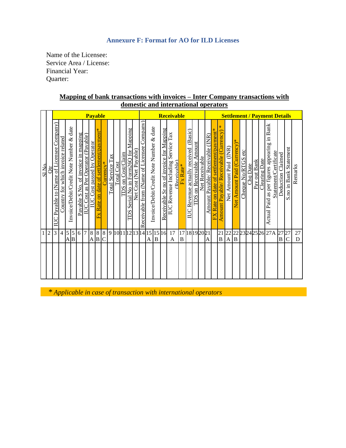#### **Annexure F: Format for AO for ILD Licenses**

Name of the Licensee: Service Area / License: Financial Year: Quarter:

|                     |                                            |                                   |                                         |                     |                                     |                                |                                |                                                                      |                  |                   |               |                      |                                         |                        |                                            |                                         |         |                                         | domestic and international operators           |                         |                                              |                                           |                                   |                                                                                              |                                              |                                    |                                               |                       |          |              |               |                                                                    |                                               |                        |         |
|---------------------|--------------------------------------------|-----------------------------------|-----------------------------------------|---------------------|-------------------------------------|--------------------------------|--------------------------------|----------------------------------------------------------------------|------------------|-------------------|---------------|----------------------|-----------------------------------------|------------------------|--------------------------------------------|-----------------------------------------|---------|-----------------------------------------|------------------------------------------------|-------------------------|----------------------------------------------|-------------------------------------------|-----------------------------------|----------------------------------------------------------------------------------------------|----------------------------------------------|------------------------------------|-----------------------------------------------|-----------------------|----------|--------------|---------------|--------------------------------------------------------------------|-----------------------------------------------|------------------------|---------|
|                     |                                            |                                   |                                         |                     |                                     |                                | <b>Payable</b>                 |                                                                      |                  |                   |               |                      |                                         |                        |                                            |                                         |         |                                         | Receivable                                     |                         |                                              |                                           |                                   |                                                                                              |                                              |                                    |                                               |                       |          |              |               | <b>Settlement / Payment Details</b>                                |                                               |                        |         |
| SI No.              | Payable to (Name of Licensee Company<br>ЦC | Country for which invoice related | Invoice/Debit/Credit Note Number & date |                     | Payable S No. of invoice in mapping | Cost as Per Operator (Payable) | Cost passed by Operator<br>IUC | date of settlement/payment*<br>$\overline{\mathbf{g}}$<br>Rate<br>Ex | $\text{Current}$ | Total Service Tax | Cost<br>Total | on Cost/Claim<br>TDS | Serial No in Form26O for Mapping<br>TDS | Net Cost (Net Payable) | Receivable from (Name of Licensee Company) | Invoice/Debit/Credit Note Number & date |         | Receivable Sr no of invoice for Mapping | Тах<br>Service<br><b>IUC</b> Revenue Including | Receivable)<br>Fx Rate* | IUC Revenue actually received (Basic)<br>TDS | Amount<br>Net Receivable<br>on Receivable | (INR)<br>$\rm Payable/$<br>Amount | payment*<br>Receivable<br>settlement/<br>ð<br>date<br>$\overline{\mathrm{m}}$<br>Rate<br>ĹT. | ₩<br>Payable/Receivable (Currency)<br>Amount | (INR)<br>Amount Paid<br><b>Net</b> | ₩<br>⋗<br>Currenc<br>Paid<br>Amount<br>ã<br>Ź | etc<br>Cheque No/RTGS | Chq Date | Pay out Bank | Clearing Date | <b>Bank</b><br>$\Xi$<br>as per figures appearing<br>Paid<br>Actual | Statement/Certificate<br>Claimed<br>Deduction | S.no in Bank Statement | Remarks |
| 1<br>$\overline{c}$ | 3                                          | $\overline{4}$                    | 5<br>A                                  | 5<br>$\overline{B}$ | 6                                   | 7                              | $8\,$<br>A B                   | 8                                                                    | $\,8\,$<br>C     | 9                 |               |                      |                                         | 101112131415           |                                            | A                                       | 15<br>B | 16                                      | 17<br>A                                        | B                       | 17 18 19 20 21                               |                                           | A                                 |                                                                                              | 21<br>B                                      | 22<br>A                            | 22<br>B                                       |                       |          | 23242526     |               | 27A                                                                | 27<br>B                                       | 27<br>$\mathsf{C}$     | 27<br>D |
|                     |                                            |                                   |                                         |                     |                                     |                                |                                |                                                                      |                  |                   |               |                      |                                         |                        |                                            |                                         |         |                                         |                                                |                         |                                              |                                           |                                   |                                                                                              |                                              |                                    |                                               |                       |          |              |               |                                                                    |                                               |                        |         |

#### **Mapping of bank transactions with invoices – Inter Company transactions with domestic and international operators**

*\* Applicable in case of transaction with international operators*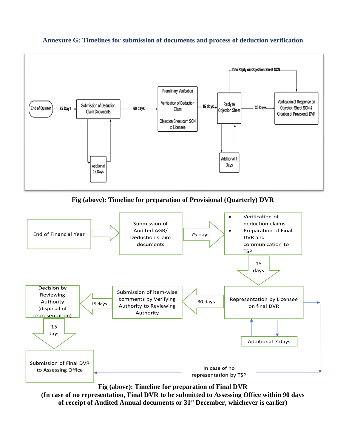

#### **Annexure G: Timelines for submission of documents and process of deduction verification**

**Fig (above): Timeline for preparation of Provisional (Quarterly) DVR**



#### **Fig (above): Timeline for preparation of Final DVR**

**(In case of no representation, Final DVR to be submitted to Assessing Office within 90 days of receipt of Audited Annual documents or 31st December, whichever is earlier)**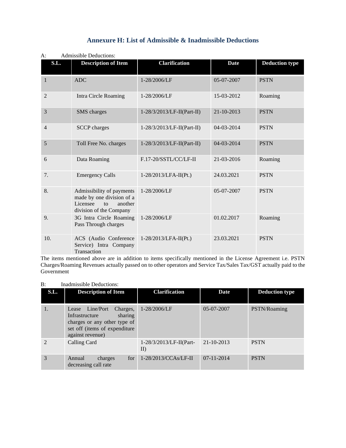| S.L.           | <b>Description of Item</b>                                                                                               | <b>Clarification</b>          | <b>Date</b>      | <b>Deduction type</b> |
|----------------|--------------------------------------------------------------------------------------------------------------------------|-------------------------------|------------------|-----------------------|
| $\mathbf{1}$   | <b>ADC</b>                                                                                                               | 1-28/2006/LF                  | 05-07-2007       | <b>PSTN</b>           |
| $\overline{2}$ | Intra Circle Roaming                                                                                                     | 1-28/2006/LF                  | 15-03-2012       | Roaming               |
| 3              | SMS charges                                                                                                              | $1-28/3/2013$ /LF-II(Part-II) | $21 - 10 - 2013$ | <b>PSTN</b>           |
| 4              | <b>SCCP</b> charges                                                                                                      | $1-28/3/2013$ /LF-II(Part-II) | 04-03-2014       | <b>PSTN</b>           |
| 5              | Toll Free No. charges                                                                                                    | $1-28/3/2013/LF-H(Part-II)$   | 04-03-2014       | <b>PSTN</b>           |
| 6              | Data Roaming                                                                                                             | F.17-20/SSTL/CC/LF-II         | 21-03-2016       | Roaming               |
| 7.             | <b>Emergency Calls</b>                                                                                                   | 1-28/2013/LFA-II(Pt.)         | 24.03.2021       | <b>PSTN</b>           |
| 8.             | Admissibility of payments<br>made by one division of a<br>Licensee<br>another<br>$\mathbf{t}$<br>division of the Company | 1-28/2006/LF                  | 05-07-2007       | <b>PSTN</b>           |
| 9.             | 3G Intra Circle Roaming<br>Pass Through charges                                                                          | 1-28/2006/LF                  | 01.02.2017       | Roaming               |
| 10.            | ACS (Audio Conference<br>Service) Intra Company<br>Transaction                                                           | $1-28/2013/LFA-II(Pt.)$       | 23.03.2021       | <b>PSTN</b>           |

# **Annexure H: List of Admissible & Inadmissible Deductions**

#### A: Admissible Deductions:

The items mentioned above are in addition to items specifically mentioned in the License Agreement i.e. PSTN Charges/Roaming Revenues actually passed on to other operators and Service Tax/Sales Tax/GST actually paid to the Government

#### B: Inadmissible Deductions:

| S.L.                        | <b>Description of Item</b>                                                                                                                     | <b>Clarification</b>                  | Date             | <b>Deduction type</b> |
|-----------------------------|------------------------------------------------------------------------------------------------------------------------------------------------|---------------------------------------|------------------|-----------------------|
| 1.                          | Lease Line/Port<br>Charges,<br>Infrastructure<br>sharing<br>charges or any other type of<br>set off (items of expenditure)<br>against revenue) | 1-28/2006/LF                          | $05-07-2007$     | PSTN/Roaming          |
| $\mathcal{D}_{\mathcal{L}}$ | Calling Card                                                                                                                                   | $1-28/3/2013/LF-H(Part-$<br>$\rm{II}$ | $21 - 10 - 2013$ | <b>PSTN</b>           |
| 3                           | for<br>Annual<br>charges<br>decreasing call rate                                                                                               | $1-28/2013/CCAs/LF-II$                | $07 - 11 - 2014$ | <b>PSTN</b>           |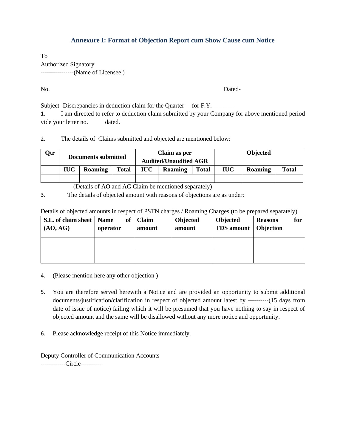#### **Annexure I: Format of Objection Report cum Show Cause cum Notice**

To Authorized Signatory ----------------(Name of Licensee )

No. Dated-

Subject- Discrepancies in deduction claim for the Quarter--- for F.Y.------------

1. I am directed to refer to deduction claim submitted by your Company for above mentioned period vide your letter no. dated.

2. The details of Claims submitted and objected are mentioned below:

| Qtr |            | Documents submitted |              |     | Claim as per<br><b>Audited/Unaudited AGR</b> |       |            | <b>Objected</b> |              |
|-----|------------|---------------------|--------------|-----|----------------------------------------------|-------|------------|-----------------|--------------|
|     | <b>IUC</b> | <b>Roaming</b>      | <b>Total</b> | IUC | Roaming                                      | Total | <b>IUC</b> | Roaming         | <b>Total</b> |
|     |            |                     |              |     |                                              |       |            |                 |              |

(Details of AO and AG Claim be mentioned separately)

3. The details of objected amount with reasons of objections are as under:

| Details of objected amounts in respect of PSTN charges / Roaming Charges (to be prepared separately) |  |  |  |  |
|------------------------------------------------------------------------------------------------------|--|--|--|--|
|                                                                                                      |  |  |  |  |

| S.L. of claim sheet   Name<br>(AO, AG) | operator | of | Claim<br>amount | <b>Objected</b><br>amount | Objected<br><b>TDS</b> amount   Objection | <b>Reasons</b> | for |
|----------------------------------------|----------|----|-----------------|---------------------------|-------------------------------------------|----------------|-----|
|                                        |          |    |                 |                           |                                           |                |     |
|                                        |          |    |                 |                           |                                           |                |     |

- 4. (Please mention here any other objection )
- 5. You are therefore served herewith a Notice and are provided an opportunity to submit additional documents/justification/clarification in respect of objected amount latest by ----------(15 days from date of issue of notice) failing which it will be presumed that you have nothing to say in respect of objected amount and the same will be disallowed without any more notice and opportunity.
- 6. Please acknowledge receipt of this Notice immediately.

Deputy Controller of Communication Accounts ------------Circle----------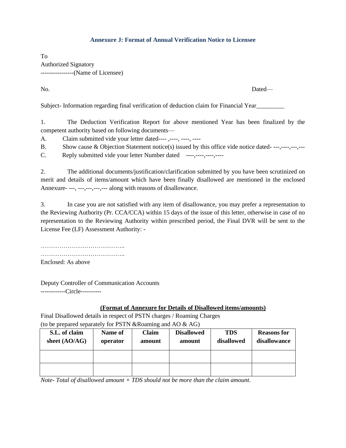#### **Annexure J: Format of Annual Verification Notice to Licensee**

To Authorized Signatory ----------------(Name of Licensee)

No. Dated—

Subject- Information regarding final verification of deduction claim for Financial Year

1. The Deduction Verification Report for above mentioned Year has been finalized by the competent authority based on following documents—

A. Claim submitted vide your letter dated----,---, ----, ----

B. Show cause & Objection Statement notice(s) issued by this office vide notice dated- ---,----,---,---

C. Reply submitted vide your letter Number dated ----,----,----,----

2. The additional documents/justification/clarification submitted by you have been scrutinized on merit and details of items/amount which have been finally disallowed are mentioned in the enclosed Annexure- ---, ---,---,---,--- along with reasons of disallowance.

3. In case you are not satisfied with any item of disallowance, you may prefer a representation to the Reviewing Authority (Pr. CCA/CCA) within 15 days of the issue of this letter, otherwise in case of no representation to the Reviewing Authority within prescribed period, the Final DVR will be sent to the License Fee (LF) Assessment Authority: -

………………………………………… ………………………………….. Enclosed: As above

Deputy Controller of Communication Accounts ------------Circle----------

#### **(Format of Annexure for Details of Disallowed items/amounts)**

Final Disallowed details in respect of PSTN charges / Roaming Charges (to be prepared separately for PSTN &Roaming and AO & AG)

| S.L. of claim<br>sheet $(AO/AG)$ | Name of<br>operator | Claim<br>amount | <b>Disallowed</b><br>amount | <b>TDS</b><br>disallowed | <b>Reasons for</b><br>disallowance |
|----------------------------------|---------------------|-----------------|-----------------------------|--------------------------|------------------------------------|
|                                  |                     |                 |                             |                          |                                    |
|                                  |                     |                 |                             |                          |                                    |

*Note- Total of disallowed amount + TDS should not be more than the claim amount.*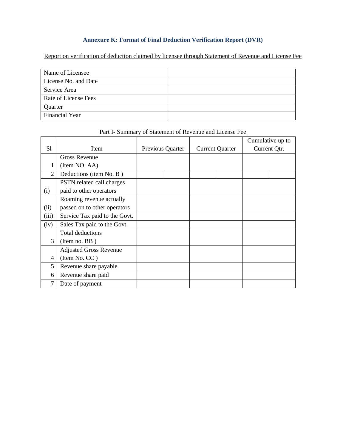#### **Annexure K: Format of Final Deduction Verification Report (DVR)**

Report on verification of deduction claimed by licensee through Statement of Revenue and License Fee

| Name of Licensee      |  |
|-----------------------|--|
| License No. and Date  |  |
| Service Area          |  |
| Rate of License Fees  |  |
| Quarter               |  |
| <b>Financial Year</b> |  |

|                |                               |                  |  |                        |  |              | Cumulative up to |
|----------------|-------------------------------|------------------|--|------------------------|--|--------------|------------------|
| S1             | Item                          | Previous Quarter |  | <b>Current Quarter</b> |  | Current Qtr. |                  |
|                | Gross Revenue                 |                  |  |                        |  |              |                  |
|                | (Item NO. AA)                 |                  |  |                        |  |              |                  |
| $\overline{2}$ | Deductions (item No. B)       |                  |  |                        |  |              |                  |
|                | PSTN related call charges     |                  |  |                        |  |              |                  |
| (i)            | paid to other operators       |                  |  |                        |  |              |                  |
|                | Roaming revenue actually      |                  |  |                        |  |              |                  |
| (ii)           | passed on to other operators  |                  |  |                        |  |              |                  |
| (iii)          | Service Tax paid to the Govt. |                  |  |                        |  |              |                  |
| (iv)           | Sales Tax paid to the Govt.   |                  |  |                        |  |              |                  |
|                | <b>Total deductions</b>       |                  |  |                        |  |              |                  |
| 3              | (Item no. $BB$ )              |                  |  |                        |  |              |                  |
|                | <b>Adjusted Gross Revenue</b> |                  |  |                        |  |              |                  |
| $\overline{4}$ | (Item No. CC)                 |                  |  |                        |  |              |                  |
| 5              | Revenue share payable         |                  |  |                        |  |              |                  |
| 6              | Revenue share paid            |                  |  |                        |  |              |                  |
| 7              | Date of payment               |                  |  |                        |  |              |                  |

#### Part I- Summary of Statement of Revenue and License Fee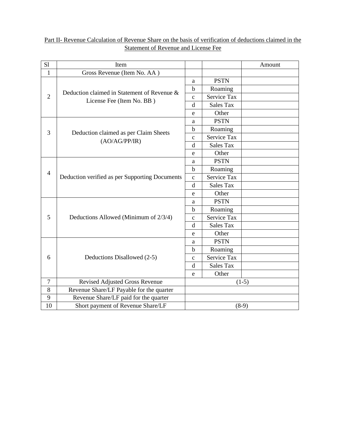### Part II- Revenue Calculation of Revenue Share on the basis of verification of deductions claimed in the Statement of Revenue and License Fee

| S1             | Item                                                                     |             |                    | Amount  |
|----------------|--------------------------------------------------------------------------|-------------|--------------------|---------|
| $\mathbf{1}$   | Gross Revenue (Item No. AA)                                              |             |                    |         |
|                | Deduction claimed in Statement of Revenue &<br>License Fee (Item No. BB) | a           | <b>PSTN</b>        |         |
|                |                                                                          | b           | Roaming            |         |
| $\overline{2}$ |                                                                          | $\mathbf c$ | Service Tax        |         |
|                |                                                                          | d           | <b>Sales Tax</b>   |         |
|                |                                                                          | $\mathbf e$ | Other              |         |
| 3              | Deduction claimed as per Claim Sheets<br>(AO/AG/PP/IR)                   | a           | <b>PSTN</b>        |         |
|                |                                                                          | b           | Roaming            |         |
|                |                                                                          | $\mathbf c$ | <b>Service Tax</b> |         |
|                |                                                                          | d           | <b>Sales Tax</b>   |         |
|                |                                                                          | e           | Other              |         |
|                | Deduction verified as per Supporting Documents                           | a           | <b>PSTN</b>        |         |
| $\overline{4}$ |                                                                          | $\mathbf b$ | Roaming            |         |
|                |                                                                          | $\mathbf c$ | Service Tax        |         |
|                |                                                                          | d           | <b>Sales Tax</b>   |         |
|                |                                                                          | e           | Other              |         |
|                | Deductions Allowed (Minimum of 2/3/4)                                    | a           | <b>PSTN</b>        |         |
|                |                                                                          | b           | Roaming            |         |
| 5              |                                                                          | $\mathbf c$ | <b>Service Tax</b> |         |
|                |                                                                          | d           | <b>Sales Tax</b>   |         |
|                |                                                                          | e           | Other              |         |
| 6              | Deductions Disallowed (2-5)                                              | a           | <b>PSTN</b>        |         |
|                |                                                                          | $\mathbf b$ | Roaming            |         |
|                |                                                                          | $\mathbf c$ | Service Tax        |         |
|                |                                                                          | d           | <b>Sales Tax</b>   |         |
|                |                                                                          |             | Other              |         |
| $\tau$         | Revised Adjusted Gross Revenue                                           | $(1-5)$     |                    |         |
| 8              | Revenue Share/LF Payable for the quarter                                 |             |                    |         |
| 9              | Revenue Share/LF paid for the quarter                                    |             |                    |         |
| 10             | Short payment of Revenue Share/LF                                        |             |                    | $(8-9)$ |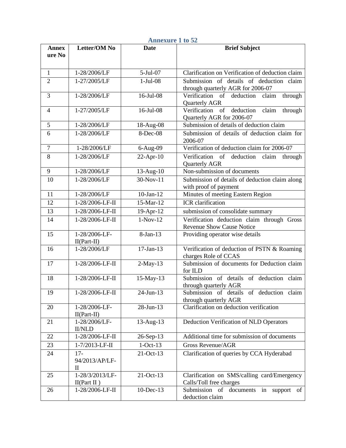| <b>Annexure 1 to 52</b> |                                         |                 |                                                                                  |  |  |
|-------------------------|-----------------------------------------|-----------------|----------------------------------------------------------------------------------|--|--|
| <b>Annex</b><br>ure No  | <b>Letter/OM No</b>                     | <b>Date</b>     | <b>Brief Subject</b>                                                             |  |  |
| $\mathbf{1}$            | 1-28/2006/LF                            | 5-Jul-07        | Clarification on Verification of deduction claim                                 |  |  |
| $\overline{2}$          | 1-27/2005/LF                            | $1-Jul-08$      | Submission of details of deduction claim<br>through quarterly AGR for 2006-07    |  |  |
| 3                       | 1-28/2006/LF                            | 16-Jul-08       | Verification of deduction claim<br>through<br>Quarterly AGR                      |  |  |
| 4                       | 1-27/2005/LF                            | 16-Jul-08       | claim<br>of<br>deduction<br>Verification<br>through<br>Quarterly AGR for 2006-07 |  |  |
| 5                       | 1-28/2006/LF                            | 18-Aug-08       | Submission of details of deduction claim                                         |  |  |
| 6                       | 1-28/2006/LF                            | 8-Dec-08        | Submission of details of deduction claim for<br>2006-07                          |  |  |
| $\overline{7}$          | 1-28/2006/LF                            | 6-Aug-09        | Verification of deduction claim for 2006-07                                      |  |  |
| 8                       | 1-28/2006/LF                            | $22$ -Apr-10    | Verification<br>of<br>deduction<br>claim<br>through<br><b>Quarterly AGR</b>      |  |  |
| 9                       | 1-28/2006/LF                            | 13-Aug-10       | Non-submission of documents                                                      |  |  |
| 10                      | 1-28/2006/LF                            | 30-Nov-11       | Submission of details of deduction claim along<br>with proof of payment          |  |  |
| 11                      | 1-28/2006/LF                            | $10$ -Jan- $12$ | Minutes of meeting Eastern Region                                                |  |  |
| 12                      | 1-28/2006-LF-II                         | 15-Mar-12       | ICR clarification                                                                |  |  |
| 13                      | 1-28/2006-LF-II                         | 19-Apr-12       | submission of consolidate summary                                                |  |  |
| 14                      | 1-28/2006-LF-II                         | $1-Nov-12$      | Verification deduction claim through Gross<br><b>Revenue Show Cause Notice</b>   |  |  |
| 15                      | 1-28/2006-LF-<br>$II(Part-II)$          | 8-Jan-13        | Providing operator wise details                                                  |  |  |
| 16                      | 1-28/2006/LF                            | $17-Jan-13$     | Verification of deduction of PSTN & Roaming<br>charges Role of CCAS              |  |  |
| 17                      | 1-28/2006-LF-II                         | $2-May-13$      | Submission of documents for Deduction claim<br>for ILD                           |  |  |
| 18                      | 1-28/2006-LF-II                         | 15-May-13       | Submission of details of deduction claim<br>through quarterly AGR                |  |  |
| 19                      | 1-28/2006-LF-II                         | 24-Jun-13       | Submission of details of deduction claim<br>through quarterly AGR                |  |  |
| 20                      | 1-28/2006-LF-<br>$II(Part-II)$          | $28 - Jun - 13$ | Clarification on deduction verification                                          |  |  |
| 21                      | 1-28/2006/LF-<br><b>II/NLD</b>          | $13$ -Aug- $13$ | Deduction Verification of NLD Operators                                          |  |  |
| 22                      | 1-28/2006-LF-II                         | 26-Sep-13       | Additional time for submission of documents                                      |  |  |
| 23                      | 1-7/2013-LF-II                          | $1-Oct-13$      | <b>Gross Revenue/AGR</b>                                                         |  |  |
| 24                      | $17-$<br>94/2013/AP/LF-<br>$\mathbf{I}$ | $21-Oct-13$     | Clarification of queries by CCA Hyderabad                                        |  |  |
| 25                      | 1-28/3/2013/LF-<br>II(Part II)          | 21-Oct-13       | Clarification on SMS/calling card/Emergency<br>Calls/Toll free charges           |  |  |
| 26                      | 1-28/2006-LF-II                         | $10$ -Dec-13    | Submission of documents in support<br>of<br>deduction claim                      |  |  |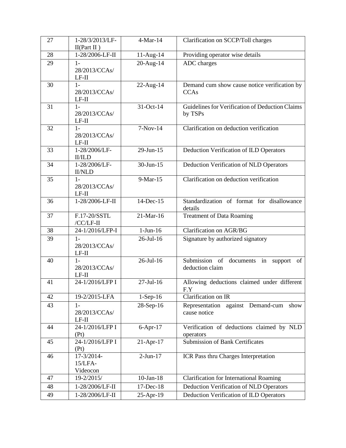| 27 | 1-28/3/2013/LF-<br>II(Part II)    | 4-Mar-14        | Clarification on SCCP/Toll charges                                |
|----|-----------------------------------|-----------------|-------------------------------------------------------------------|
| 28 | $1 - 28/2006 - LF - II$           | 11-Aug-14       | Providing operator wise details                                   |
| 29 | $1-$<br>28/2013/CCAs/<br>$LF-II$  | 20-Aug-14       | ADC charges                                                       |
| 30 | $1 -$<br>28/2013/CCAs/<br>$LF-II$ | 22-Aug-14       | Demand cum show cause notice verification by<br><b>CCAs</b>       |
| 31 | $1-$<br>28/2013/CCAs/<br>$LF-II$  | 31-Oct-14       | Guidelines for Verification of Deduction Claims<br>by TSPs        |
| 32 | $1-$<br>28/2013/CCAs/<br>$LF-II$  | $7-Nov-14$      | Clarification on deduction verification                           |
| 33 | 1-28/2006/LF-<br><b>II/ILD</b>    | $29$ -Jun-15    | Deduction Verification of ILD Operators                           |
| 34 | 1-28/2006/LF-<br><b>II/NLD</b>    | $30$ -Jun-15    | Deduction Verification of NLD Operators                           |
| 35 | $1-$<br>28/2013/CCAs/<br>$LF-II$  | 9-Mar-15        | Clarification on deduction verification                           |
| 36 | 1-28/2006-LF-II                   | 14-Dec-15       | Standardization of format for disallowance<br>details             |
| 37 | F.17-20/SSTL<br>/CC/LF-II         | 21-Mar-16       | <b>Treatment of Data Roaming</b>                                  |
| 38 | 24-1/2016/LFP-I                   | $1-Jun-16$      | <b>Clarification on AGR/BG</b>                                    |
| 39 | $1-$<br>28/2013/CCAs/<br>$LF-II$  | 26-Jul-16       | Signature by authorized signatory                                 |
| 40 | $1-$<br>28/2013/CCAs/<br>$LF-II$  | 26-Jul-16       | Submission of<br>documents in<br>support<br>of<br>deduction claim |
| 41 | 24-1/2016/LFP I                   | $27$ -Jul-16    | Allowing deductions claimed under different<br>F.Y                |
| 42 | 19-2/2015-LFA                     | $1-Sep-16$      | Clarification on IR                                               |
| 43 | $1-$<br>28/2013/CCAs/<br>$LF-II$  | 28-Sep-16       | Representation against Demand-cum<br>show<br>cause notice         |
| 44 | 24-1/2016/LFP I<br>(Pt)           | $6-Apr-17$      | Verification of deductions claimed by NLD<br>operators            |
| 45 | 24-1/2016/LFP I<br>(Pt)           | 21-Apr-17       | <b>Submission of Bank Certificates</b>                            |
| 46 | 17-3/2014-<br>15/LFA-<br>Videocon | $2-Jun-17$      | ICR Pass thru Charges Interpretation                              |
| 47 | 19-2/2015/                        | $10$ -Jan- $18$ | <b>Clarification for International Roaming</b>                    |
| 48 | 1-28/2006/LF-II                   | 17-Dec-18       | Deduction Verification of NLD Operators                           |
| 49 | 1-28/2006/LF-II                   | 25-Apr-19       | Deduction Verification of ILD Operators                           |